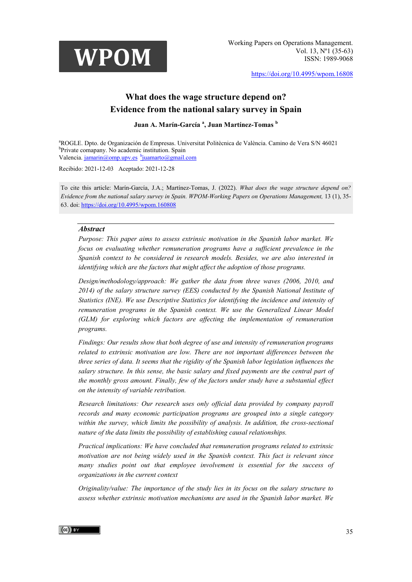

Working Papers on Operations Management. Vol. 13, Nº1 (35-63) ISSN: 1989-9068

<https://doi.org/10.4995/wpom.16808>

# **What does the wage structure depend on? Evidence from the national salary survey in Spain**

#### **Juan A. Marín-García <sup>a</sup> , Juan Martínez-Tomas <sup>b</sup>**

<sup>a</sup>ROGLE. Dpto. de Organización de Empresas. Universitat Politècnica de València. Camino de Vera S/N 46021<br><sup>b</sup>Private comanany. No academic institution. Spain <sup>b</sup>Private comapany. No academic institution. Spain Valencia[. jamarin@omp.upv.es](mailto:jamarin@omp.upv.es) bjuamarto@gmail.com

Recibido: 2021-12-03 Aceptado: 2021-12-28

To cite this article: Marín-García, J.A.; Martínez-Tomas, J. (2022). *What does the wage structure depend on? Evidence from the national salary survey in Spain. WPOM-Working Papers on Operations Management,* 13 (1), 35- 63. doi[: https://doi.org/10.4995/wpom.160808](https://doi.org/10.4995/wpom.160808)

#### *Abstract*

*Purpose: This paper aims to assess extrinsic motivation in the Spanish labor market. We focus on evaluating whether remuneration programs have a sufficient prevalence in the Spanish context to be considered in research models. Besides, we are also interested in identifying which are the factors that might affect the adoption of those programs.* 

*Design/methodology/approach: We gather the data from three waves (2006, 2010, and 2014) of the salary structure survey (EES) conducted by the Spanish National Institute of Statistics (INE). We use Descriptive Statistics for identifying the incidence and intensity of remuneration programs in the Spanish context. We use the Generalized Linear Model (GLM) for exploring which factors are affecting the implementation of remuneration programs.*

*Findings: Our results show that both degree of use and intensity of remuneration programs related to extrinsic motivation are low. There are not important differences between the three series of data. It seems that the rigidity of the Spanish labor legislation influences the salary structure. In this sense, the basic salary and fixed payments are the central part of the monthly gross amount. Finally, few of the factors under study have a substantial effect on the intensity of variable retribution.* 

*Research limitations: Our research uses only official data provided by company payroll records and many economic participation programs are grouped into a single category within the survey, which limits the possibility of analysis. In addition, the cross-sectional nature of the data limits the possibility of establishing causal relationships.*

*Practical implications: We have concluded that remuneration programs related to extrinsic motivation are not being widely used in the Spanish context. This fact is relevant since many studies point out that employee involvement is essential for the success of organizations in the current context*

*Originality/value: The importance of the study lies in its focus on the salary structure to assess whether extrinsic motivation mechanisms are used in the Spanish labor market. We* 

#### $(cc)$  BY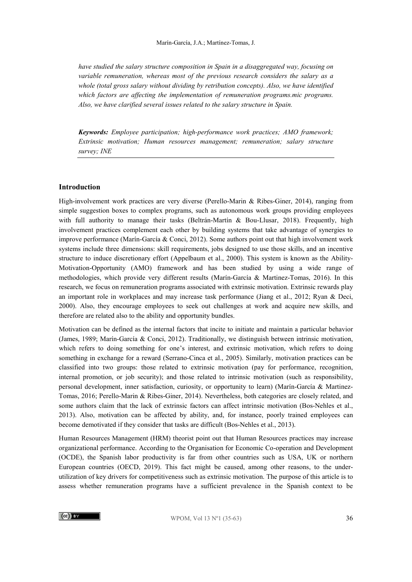*have studied the salary structure composition in Spain in a disaggregated way, focusing on variable remuneration, whereas most of the previous research considers the salary as a whole (total gross salary without dividing by retribution concepts). Also, we have identified*  which factors are affecting the implementation of remuneration programs.mic programs. *Also, we have clarified several issues related to the salary structure in Spain.* 

*Keywords: Employee participation; high-performance work practices; AMO framework; Extrinsic motivation; Human resources management; remuneration; salary structure survey; INE*

#### **Introduction**

High-involvement work practices are very diverse (Perello-Marin & Ribes-Giner, 2014), ranging from simple suggestion boxes to complex programs, such as autonomous work groups providing employees with full authority to manage their tasks (Beltrán-Martín & Bou-Llusar, 2018). Frequently, high involvement practices complement each other by building systems that take advantage of synergies to improve performance (Marín-García & Conci, 2012). Some authors point out that high involvement work systems include three dimensions: skill requirements, jobs designed to use those skills, and an incentive structure to induce discretionary effort (Appelbaum et al., 2000). This system is known as the Ability-Motivation-Opportunity (AMO) framework and has been studied by using a wide range of methodologies, which provide very different results (Marín-García & Martinez-Tomas, 2016). In this research, we focus on remuneration programs associated with extrinsic motivation. Extrinsic rewards play an important role in workplaces and may increase task performance (Jiang et al., 2012; Ryan & Deci, 2000). Also, they encourage employees to seek out challenges at work and acquire new skills, and therefore are related also to the ability and opportunity bundles.

Motivation can be defined as the internal factors that incite to initiate and maintain a particular behavior (James, 1989; Marín-García & Conci, 2012). Traditionally, we distinguish between intrinsic motivation, which refers to doing something for one's interest, and extrinsic motivation, which refers to doing something in exchange for a reward (Serrano-Cinca et al., 2005). Similarly, motivation practices can be classified into two groups: those related to extrinsic motivation (pay for performance, recognition, internal promotion, or job security); and those related to intrinsic motivation (such as responsibility, personal development, inner satisfaction, curiosity, or opportunity to learn) (Marín-García & Martinez-Tomas, 2016; Perello-Marin & Ribes-Giner, 2014). Nevertheless, both categories are closely related, and some authors claim that the lack of extrinsic factors can affect intrinsic motivation (Bos-Nehles et al., 2013). Also, motivation can be affected by ability, and, for instance, poorly trained employees can become demotivated if they consider that tasks are difficult (Bos-Nehles et al., 2013).

Human Resources Management (HRM) theorist point out that Human Resources practices may increase organizational performance. According to the Organisation for Economic Co-operation and Development (OCDE), the Spanish labor productivity is far from other countries such as USA, UK or northern European countries (OECD, 2019). This fact might be caused, among other reasons, to the underutilization of key drivers for competitiveness such as extrinsic motivation. The purpose of this article is to assess whether remuneration programs have a sufficient prevalence in the Spanish context to be

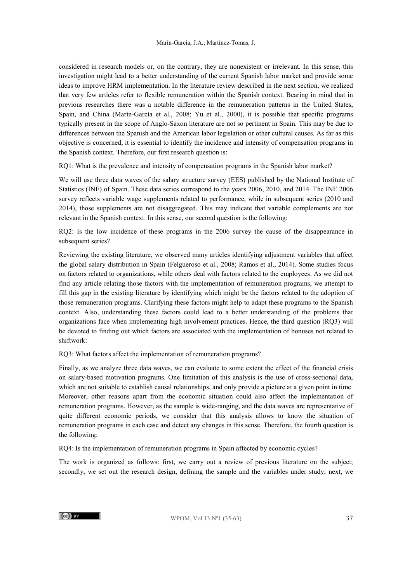considered in research models or, on the contrary, they are nonexistent or irrelevant. In this sense, this investigation might lead to a better understanding of the current Spanish labor market and provide some ideas to improve HRM implementation. In the literature review described in the next section, we realized that very few articles refer to flexible remuneration within the Spanish context. Bearing in mind that in previous researches there was a notable difference in the remuneration patterns in the United States, Spain, and China (Marín-García et al., 2008; Yu et al., 2000), it is possible that specific programs typically present in the scope of Anglo-Saxon literature are not so pertinent in Spain. This may be due to differences between the Spanish and the American labor legislation or other cultural causes. As far as this objective is concerned, it is essential to identify the incidence and intensity of compensation programs in the Spanish context. Therefore, our first research question is:

RQ1: What is the prevalence and intensity of compensation programs in the Spanish labor market?

We will use three data waves of the salary structure survey (EES) published by the National Institute of Statistics (INE) of Spain. These data series correspond to the years 2006, 2010, and 2014. The INE 2006 survey reflects variable wage supplements related to performance, while in subsequent series (2010 and 2014), those supplements are not disaggregated. This may indicate that variable complements are not relevant in the Spanish context. In this sense, our second question is the following:

RQ2: Is the low incidence of these programs in the 2006 survey the cause of the disappearance in subsequent series?

Reviewing the existing literature, we observed many articles identifying adjustment variables that affect the global salary distribution in Spain (Felgueroso et al., 2008; Ramos et al., 2014). Some studies focus on factors related to organizations, while others deal with factors related to the employees. As we did not find any article relating those factors with the implementation of remuneration programs, we attempt to fill this gap in the existing literature by identifying which might be the factors related to the adoption of those remuneration programs. Clarifying these factors might help to adapt these programs to the Spanish context. Also, understanding these factors could lead to a better understanding of the problems that organizations face when implementing high involvement practices. Hence, the third question (RQ3) will be devoted to finding out which factors are associated with the implementation of bonuses not related to shiftwork:

RQ3: What factors affect the implementation of remuneration programs?

Finally, as we analyze three data waves, we can evaluate to some extent the effect of the financial crisis on salary-based motivation programs. One limitation of this analysis is the use of cross-sectional data, which are not suitable to establish causal relationships, and only provide a picture at a given point in time. Moreover, other reasons apart from the economic situation could also affect the implementation of remuneration programs. However, as the sample is wide-ranging, and the data waves are representative of quite different economic periods, we consider that this analysis allows to know the situation of remuneration programs in each case and detect any changes in this sense. Therefore, the fourth question is the following:

RQ4: Is the implementation of remuneration programs in Spain affected by economic cycles?

The work is organized as follows: first, we carry out a review of previous literature on the subject; secondly, we set out the research design, defining the sample and the variables under study; next, we

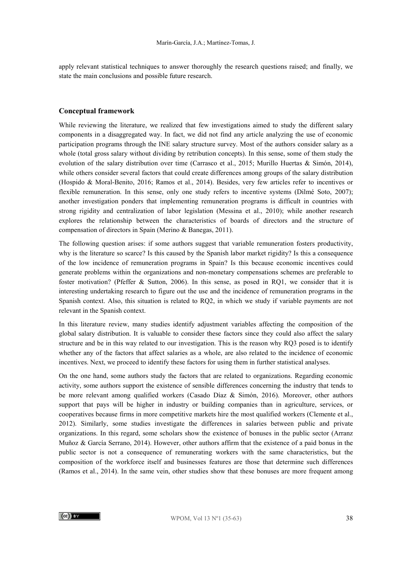apply relevant statistical techniques to answer thoroughly the research questions raised; and finally, we state the main conclusions and possible future research.

#### **Conceptual framework**

While reviewing the literature, we realized that few investigations aimed to study the different salary components in a disaggregated way. In fact, we did not find any article analyzing the use of economic participation programs through the INE salary structure survey. Most of the authors consider salary as a whole (total gross salary without dividing by retribution concepts). In this sense, some of them study the evolution of the salary distribution over time (Carrasco et al., 2015; Murillo Huertas & Simón, 2014), while others consider several factors that could create differences among groups of the salary distribution (Hospido & Moral-Benito, 2016; Ramos et al., 2014). Besides, very few articles refer to incentives or flexible remuneration. In this sense, only one study refers to incentive systems (Dilmé Soto, 2007); another investigation ponders that implementing remuneration programs is difficult in countries with strong rigidity and centralization of labor legislation (Messina et al., 2010); while another research explores the relationship between the characteristics of boards of directors and the structure of compensation of directors in Spain (Merino & Banegas, 2011).

The following question arises: if some authors suggest that variable remuneration fosters productivity, why is the literature so scarce? Is this caused by the Spanish labor market rigidity? Is this a consequence of the low incidence of remuneration programs in Spain? Is this because economic incentives could generate problems within the organizations and non-monetary compensations schemes are preferable to foster motivation? (Pfeffer & Sutton, 2006). In this sense, as posed in RQ1, we consider that it is interesting undertaking research to figure out the use and the incidence of remuneration programs in the Spanish context. Also, this situation is related to RQ2, in which we study if variable payments are not relevant in the Spanish context.

In this literature review, many studies identify adjustment variables affecting the composition of the global salary distribution. It is valuable to consider these factors since they could also affect the salary structure and be in this way related to our investigation. This is the reason why RQ3 posed is to identify whether any of the factors that affect salaries as a whole, are also related to the incidence of economic incentives. Next, we proceed to identify these factors for using them in further statistical analyses.

On the one hand, some authors study the factors that are related to organizations. Regarding economic activity, some authors support the existence of sensible differences concerning the industry that tends to be more relevant among qualified workers (Casado Díaz & Simón, 2016). Moreover, other authors support that pays will be higher in industry or building companies than in agriculture, services, or cooperatives because firms in more competitive markets hire the most qualified workers (Clemente et al., 2012). Similarly, some studies investigate the differences in salaries between public and private organizations. In this regard, some scholars show the existence of bonuses in the public sector (Arranz Muñoz & García Serrano, 2014). However, other authors affirm that the existence of a paid bonus in the public sector is not a consequence of remunerating workers with the same characteristics, but the composition of the workforce itself and businesses features are those that determine such differences (Ramos et al., 2014). In the same vein, other studies show that these bonuses are more frequent among

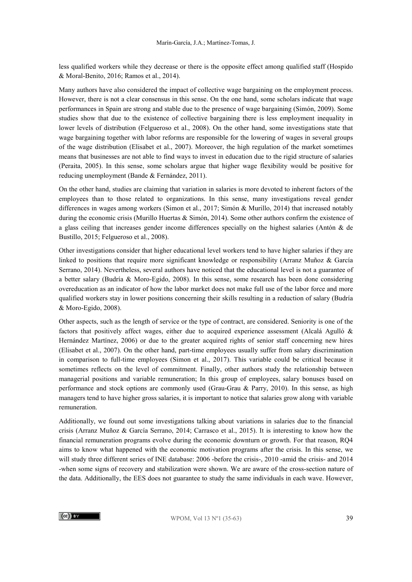less qualified workers while they decrease or there is the opposite effect among qualified staff (Hospido & Moral-Benito, 2016; Ramos et al., 2014).

Many authors have also considered the impact of collective wage bargaining on the employment process. However, there is not a clear consensus in this sense. On the one hand, some scholars indicate that wage performances in Spain are strong and stable due to the presence of wage bargaining (Simón, 2009). Some studies show that due to the existence of collective bargaining there is less employment inequality in lower levels of distribution (Felgueroso et al., 2008). On the other hand, some investigations state that wage bargaining together with labor reforms are responsible for the lowering of wages in several groups of the wage distribution (Elisabet et al., 2007). Moreover, the high regulation of the market sometimes means that businesses are not able to find ways to invest in education due to the rigid structure of salaries (Peraita, 2005). In this sense, some scholars argue that higher wage flexibility would be positive for reducing unemployment (Bande & Fernández, 2011).

On the other hand, studies are claiming that variation in salaries is more devoted to inherent factors of the employees than to those related to organizations. In this sense, many investigations reveal gender differences in wages among workers (Simon et al., 2017; Simón & Murillo, 2014) that increased notably during the economic crisis (Murillo Huertas & Simón, 2014). Some other authors confirm the existence of a glass ceiling that increases gender income differences specially on the highest salaries (Antón & de Bustillo, 2015; Felgueroso et al., 2008).

Other investigations consider that higher educational level workers tend to have higher salaries if they are linked to positions that require more significant knowledge or responsibility (Arranz Muñoz & García Serrano, 2014). Nevertheless, several authors have noticed that the educational level is not a guarantee of a better salary (Budría & Moro-Egido, 2008). In this sense, some research has been done considering overeducation as an indicator of how the labor market does not make full use of the labor force and more qualified workers stay in lower positions concerning their skills resulting in a reduction of salary (Budría & Moro-Egido, 2008).

Other aspects, such as the length of service or the type of contract, are considered. Seniority is one of the factors that positively affect wages, either due to acquired experience assessment (Alcalá Agulló & Hernández Martínez, 2006) or due to the greater acquired rights of senior staff concerning new hires (Elisabet et al., 2007). On the other hand, part-time employees usually suffer from salary discrimination in comparison to full-time employees (Simon et al., 2017). This variable could be critical because it sometimes reflects on the level of commitment. Finally, other authors study the relationship between managerial positions and variable remuneration; In this group of employees, salary bonuses based on performance and stock options are commonly used (Grau-Grau & Parry, 2010). In this sense, as high managers tend to have higher gross salaries, it is important to notice that salaries grow along with variable remuneration.

Additionally, we found out some investigations talking about variations in salaries due to the financial crisis (Arranz Muñoz & García Serrano, 2014; Carrasco et al., 2015). It is interesting to know how the financial remuneration programs evolve during the economic downturn or growth. For that reason, RQ4 aims to know what happened with the economic motivation programs after the crisis. In this sense, we will study three different series of INE database: 2006 -before the crisis-, 2010 -amid the crisis- and 2014 -when some signs of recovery and stabilization were shown. We are aware of the cross-section nature of the data. Additionally, the EES does not guarantee to study the same individuals in each wave. However,

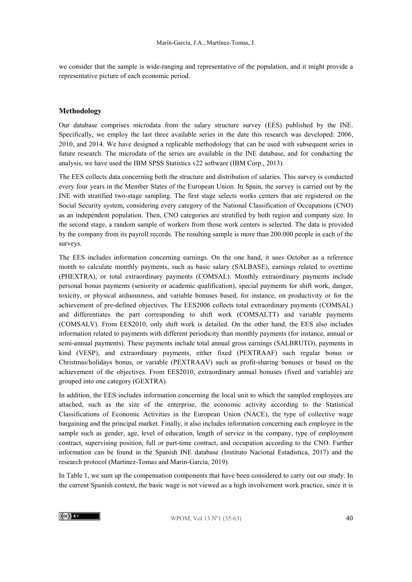we consider that the sample is wide-ranging and representative of the population, and it might provide a representative picture of each economic period.

#### **Methodology**

Our database comprises microdata from the salary structure survey (EES) published by the INE. Specifically, we employ the last three available series in the date this research was developed: 2006, 2010, and 2014. We have designed a replicable methodology that can be used with subsequent series in future research. The microdata of the series are available in the INE database, and for conducting the analysis, we have used the IBM SPSS Statistics v22 software (IBM Corp., 2013).

The EES collects data concerning both the structure and distribution of salaries. This survey is conducted every four years in the Member States of the European Union. In Spain, the survey is carried out by the INE with stratified two-stage sampling. The first stage selects works centers that are registered on the Social Security system, considering every category of the National Classification of Occupations (CNO) as an independent population. Then, CNO categories are stratified by both region and company size. In the second stage, a random sample of workers from those work centers is selected. The data is provided by the company from its payroll records. The resulting sample is more than 200.000 people in each of the surveys.

The EES includes information concerning earnings. On the one hand, it uses October as a reference month to calculate monthly payments, such as basic salary (SALBASE), earnings related to overtime (PHEXTRA), or total extraordinary payments (COMSAL). Monthly extraordinary payments include personal bonus payments (seniority or academic qualification), special payments for shift work, danger, toxicity, or physical arduousness, and variable bonuses based, for instance, on productivity or for the achievement of pre-defined objectives. The EES2006 collects total extraordinary payments (COMSAL) and differentiates the part corresponding to shift work (COMSALTT) and variable payments (COMSALV). From EES2010, only shift work is detailed. On the other hand, the EES also includes information related to payments with different periodicity than monthly payments (for instance, annual or semi-annual payments). These payments include total annual gross earnings (SALBRUTO), payments in kind (VESP), and extraordinary payments, either fixed (PEXTRAAF) such regular bonus or Christmas/holidays bonus, or variable (PEXTRAAV) such as profit-sharing bonuses or based on the achievement of the objectives. From EES2010, extraordinary annual bonuses (fixed and variable) are grouped into one category (GEXTRA).

In addition, the EES includes information concerning the local unit to which the sampled employees are attached, such as the size of the enterprise, the economic activity according to the Statistical Classifications of Economic Activities in the European Union (NACE), the type of collective wage bargaining and the principal market. Finally, it also includes information concerning each employee in the sample such as gender, age, level of education, length of service in the company, type of employment contract, supervising position, full or part-time contract, and occupation according to the CNO. Further information can be found in the Spanish INE database (Instituto Nacional Estadistica, 2017) and the research protocol (Martinez-Tomas and Marin-Garcia, 2019).

In Table 1, we sum up the compensation components that have been considered to carry out our study. In the current Spanish context, the basic wage is not viewed as a high involvement work practice, since it is

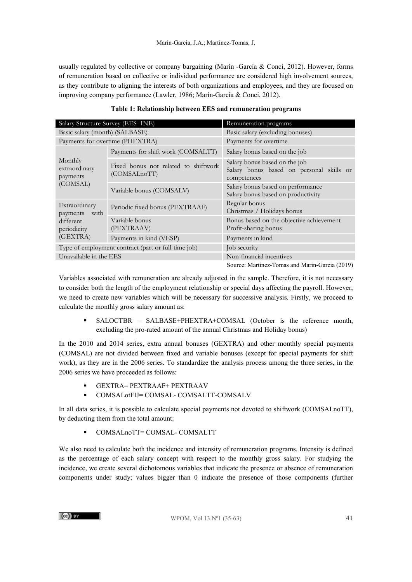usually regulated by collective or company bargaining (Marín -García & Conci, 2012). However, forms of remuneration based on collective or individual performance are considered high involvement sources, as they contribute to aligning the interests of both organizations and employees, and they are focused on improving company performance (Lawler, 1986; Marín-García & Conci, 2012).

| Salary Structure Survey (EES- INE)                  |                                                      | Remuneration programs                                                                    |  |  |  |
|-----------------------------------------------------|------------------------------------------------------|------------------------------------------------------------------------------------------|--|--|--|
| Basic salary (month) (SALBASE)                      |                                                      | Basic salary (excluding bonuses)                                                         |  |  |  |
|                                                     | Payments for overtime (PHEXTRA)                      | Payments for overtime                                                                    |  |  |  |
|                                                     | Payments for shift work (COMSALTT)                   | Salary bonus based on the job                                                            |  |  |  |
| Monthly<br>extraordinary<br>payments<br>(COMSAL)    | Fixed bonus not related to shiftwork<br>(COMSALnoTT) | Salary bonus based on the job<br>Salary bonus based on personal skills or<br>competences |  |  |  |
|                                                     | Variable bonus (COMSALV)                             | Salary bonus based on performance<br>Salary bonus based on productivity                  |  |  |  |
| Extraordinary<br>with<br>payments                   | Periodic fixed bonus (PEXTRAAF)                      | Regular bonus<br>Christmas / Holidays bonus                                              |  |  |  |
| different<br>periodicity<br>(GEXTRA)                | Variable bonus<br>(PEXTRAAV)                         | Bonus based on the objective achievement<br>Profit-sharing bonus                         |  |  |  |
|                                                     | Payments in kind (VESP)                              | Payments in kind                                                                         |  |  |  |
| Type of employment contract (part or full-time job) |                                                      | Job security                                                                             |  |  |  |
| Unavailable in the EES                              |                                                      | Non-financial incentives                                                                 |  |  |  |
|                                                     |                                                      | Source: Martinez-Tomas and Marin-Garcia (2019)                                           |  |  |  |

| Table 1: Relationship between EES and remuneration programs |  |  |
|-------------------------------------------------------------|--|--|
|-------------------------------------------------------------|--|--|

Variables associated with remuneration are already adjusted in the sample. Therefore, it is not necessary to consider both the length of the employment relationship or special days affecting the payroll. However, we need to create new variables which will be necessary for successive analysis. Firstly, we proceed to calculate the monthly gross salary amount as:

 SALOCTBR = SALBASE+PHEXTRA+COMSAL (October is the reference month, excluding the pro-rated amount of the annual Christmas and Holiday bonus)

In the 2010 and 2014 series, extra annual bonuses (GEXTRA) and other monthly special payments (COMSAL) are not divided between fixed and variable bonuses (except for special payments for shift work), as they are in the 2006 series. To standardize the analysis process among the three series, in the 2006 series we have proceeded as follows:

- GEXTRA= PEXTRAAF+ PEXTRAAV
- COMSALotFIJ= COMSAL- COMSALTT-COMSALV

In all data series, it is possible to calculate special payments not devoted to shiftwork (COMSALnoTT), by deducting them from the total amount:

COMSALnoTT= COMSAL- COMSALTT

We also need to calculate both the incidence and intensity of remuneration programs. Intensity is defined as the percentage of each salary concept with respect to the monthly gross salary. For studying the incidence, we create several dichotomous variables that indicate the presence or absence of remuneration components under study; values bigger than 0 indicate the presence of those components (further

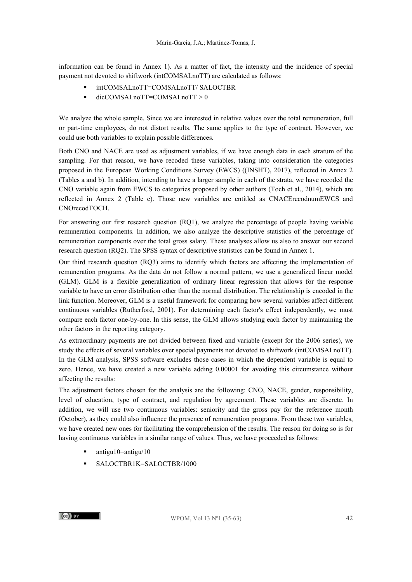information can be found in Annex 1). As a matter of fact, the intensity and the incidence of special payment not devoted to shiftwork (intCOMSALnoTT) are calculated as follows:

- intCOMSALnoTT=COMSALnoTT/ SALOCTBR
- $\blacksquare$  dicCOMSALnoTT=COMSALnoTT > 0

We analyze the whole sample. Since we are interested in relative values over the total remuneration, full or part-time employees, do not distort results. The same applies to the type of contract. However, we could use both variables to explain possible differences.

Both CNO and NACE are used as adjustment variables, if we have enough data in each stratum of the sampling. For that reason, we have recoded these variables, taking into consideration the categories proposed in the European Working Conditions Survey (EWCS) ((INSHT), 2017), reflected in Annex 2 (Tables a and b). In addition, intending to have a larger sample in each of the strata, we have recoded the CNO variable again from EWCS to categories proposed by other authors (Toch et al., 2014), which are reflected in Annex 2 (Table c). Those new variables are entitled as CNACErecodnumEWCS and CNOrecodTOCH.

For answering our first research question (RQ1), we analyze the percentage of people having variable remuneration components. In addition, we also analyze the descriptive statistics of the percentage of remuneration components over the total gross salary. These analyses allow us also to answer our second research question (RQ2). The SPSS syntax of descriptive statistics can be found in Annex 1.

Our third research question (RQ3) aims to identify which factors are affecting the implementation of remuneration programs. As the data do not follow a normal pattern, we use a generalized linear model (GLM). GLM is a flexible generalization of ordinary linear regression that allows for the response variable to have an error distribution other than the normal distribution. The relationship is encoded in the link function. Moreover, GLM is a useful framework for comparing how several variables affect different continuous variables (Rutherford, 2001). For determining each factor's effect independently, we must compare each factor one-by-one. In this sense, the GLM allows studying each factor by maintaining the other factors in the reporting category.

As extraordinary payments are not divided between fixed and variable (except for the 2006 series), we study the effects of several variables over special payments not devoted to shiftwork (intCOMSALnoTT). In the GLM analysis, SPSS software excludes those cases in which the dependent variable is equal to zero. Hence, we have created a new variable adding 0.00001 for avoiding this circumstance without affecting the results:

The adjustment factors chosen for the analysis are the following: CNO, NACE, gender, responsibility, level of education, type of contract, and regulation by agreement. These variables are discrete. In addition, we will use two continuous variables: seniority and the gross pay for the reference month (October), as they could also influence the presence of remuneration programs. From these two variables, we have created new ones for facilitating the comprehension of the results. The reason for doing so is for having continuous variables in a similar range of values. Thus, we have proceeded as follows:

- $\blacksquare$  antigu10=antigu/10
- **SALOCTBR1K=SALOCTBR/1000**

 $\left(\mathrm{cc}\right)$  BY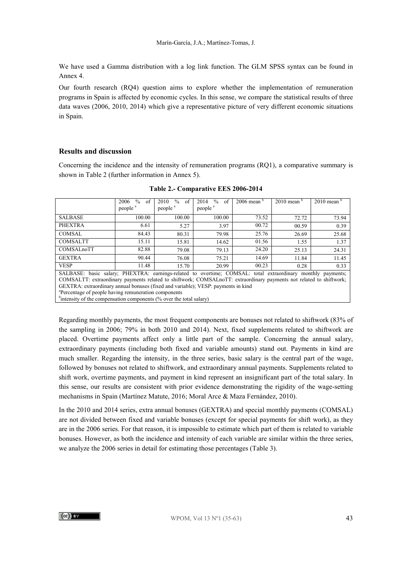We have used a Gamma distribution with a log link function. The GLM SPSS syntax can be found in Annex 4.

Our fourth research (RQ4) question aims to explore whether the implementation of remuneration programs in Spain is affected by economic cycles. In this sense, we compare the statistical results of three data waves (2006, 2010, 2014) which give a representative picture of very different economic situations in Spain.

#### **Results and discussion**

Concerning the incidence and the intensity of remuneration programs (RQ1), a comparative summary is shown in Table 2 (further information in Annex 5).

|                                                                                                                     | $\frac{0}{0}$<br>2006<br>of | $\frac{0}{0}$<br>2010<br>of | $\frac{0}{0}$<br>2014<br>of | $2006$ mean $\degree$ | $2010$ mean $\overline{6}$ | $2010$ mean $\frac{6}{3}$ |
|---------------------------------------------------------------------------------------------------------------------|-----------------------------|-----------------------------|-----------------------------|-----------------------|----------------------------|---------------------------|
|                                                                                                                     | people <sup>a</sup>         | people <sup>a</sup>         | people <sup>a</sup>         |                       |                            |                           |
| <b>SALBASE</b>                                                                                                      | 100.00                      | 100.00                      | 100.00                      | 73.52                 | 72.72                      | 73.94                     |
| <b>PHEXTRA</b>                                                                                                      | 6.61                        | 5.27                        | 3.97                        | 00.72                 | 00.59                      | 0.39                      |
| COMSAL                                                                                                              | 84.43                       | 80.31                       | 79.98                       | 25.76                 | 26.69                      | 25.68                     |
| COMSALTT                                                                                                            | 15.11                       | 15.81                       | 14.62                       | 01.56                 | 1.55                       | 1.37                      |
| COMSALnoTT                                                                                                          | 82.88                       | 79.08                       | 79.13                       | 24.20                 | 25.13                      | 24.31                     |
| <b>GEXTRA</b>                                                                                                       | 90.44                       | 76.08                       | 75.21                       | 14.69                 | 11.84                      | 11.45                     |
| <b>VESP</b>                                                                                                         | 11.48                       | 15.70                       | 20.99                       | 00.23                 | 0.28                       | 0.33                      |
| SALBASE: basic salary; PHEXTRA: earnings-related to overtime; COMSAL: total extraordinary monthly payments;         |                             |                             |                             |                       |                            |                           |
| COMSALTT: extraordinary payments related to shiftwork; COMSALnoTT: extraordinary payments not related to shiftwork; |                             |                             |                             |                       |                            |                           |
| GEXTRA: extraordinary annual bonuses (fixed and variable); VESP: payments in kind                                   |                             |                             |                             |                       |                            |                           |
| <sup>a</sup> Percentage of people having remuneration components                                                    |                             |                             |                             |                       |                            |                           |
| <sup>b</sup> intensity of the compensation components (% over the total salary)                                     |                             |                             |                             |                       |                            |                           |

**Table 2.- Comparative EES 2006-2014**

Regarding monthly payments, the most frequent components are bonuses not related to shiftwork (83% of the sampling in 2006; 79% in both 2010 and 2014). Next, fixed supplements related to shiftwork are placed. Overtime payments affect only a little part of the sample. Concerning the annual salary, extraordinary payments (including both fixed and variable amounts) stand out. Payments in kind are much smaller. Regarding the intensity, in the three series, basic salary is the central part of the wage, followed by bonuses not related to shiftwork, and extraordinary annual payments. Supplements related to shift work, overtime payments, and payment in kind represent an insignificant part of the total salary. In this sense, our results are consistent with prior evidence demonstrating the rigidity of the wage-setting mechanisms in Spain (Martínez Matute, 2016; Moral Arce & Maza Fernández, 2010).

In the 2010 and 2014 series, extra annual bonuses (GEXTRA) and special monthly payments (COMSAL) are not divided between fixed and variable bonuses (except for special payments for shift work), as they are in the 2006 series. For that reason, it is impossible to estimate which part of them is related to variable bonuses. However, as both the incidence and intensity of each variable are similar within the three series, we analyze the 2006 series in detail for estimating those percentages (Table 3).

 $(cc)$  BY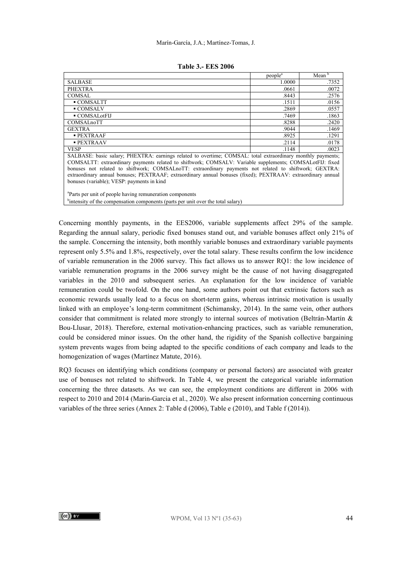|                                                                                                                                                                                                                                                                                                                                                                                                                                                                                                 | people <sup>a</sup> | Mean <sup>b</sup> |
|-------------------------------------------------------------------------------------------------------------------------------------------------------------------------------------------------------------------------------------------------------------------------------------------------------------------------------------------------------------------------------------------------------------------------------------------------------------------------------------------------|---------------------|-------------------|
| <b>SALBASE</b>                                                                                                                                                                                                                                                                                                                                                                                                                                                                                  | 1.0000              | .7352             |
| <b>PHEXTRA</b>                                                                                                                                                                                                                                                                                                                                                                                                                                                                                  | .0661               | .0072             |
| COMSAL                                                                                                                                                                                                                                                                                                                                                                                                                                                                                          | .8443               | .2576             |
| $\blacksquare$ COMSALTT                                                                                                                                                                                                                                                                                                                                                                                                                                                                         | .1511               | .0156             |
| $\blacksquare$ COMSALV                                                                                                                                                                                                                                                                                                                                                                                                                                                                          | .2869               | .0557             |
| $\blacksquare$ COMSAL ot FIJ                                                                                                                                                                                                                                                                                                                                                                                                                                                                    | .7469               | .1863             |
| COMSALnoTT                                                                                                                                                                                                                                                                                                                                                                                                                                                                                      | .8288               | .2420             |
| <b>GEXTRA</b>                                                                                                                                                                                                                                                                                                                                                                                                                                                                                   | .9044               | .1469             |
| $\blacksquare$ PEXTRAAF                                                                                                                                                                                                                                                                                                                                                                                                                                                                         | .8925               | .1291             |
| <b>PEXTRAAV</b>                                                                                                                                                                                                                                                                                                                                                                                                                                                                                 | .2114               | .0178             |
| <b>VESP</b>                                                                                                                                                                                                                                                                                                                                                                                                                                                                                     | .1148               | .0023             |
| SALBASE: basic salary; PHEXTRA: earnings related to overtime; COMSAL: total extraordinary monthly payments;<br>COMSALTT: extraordinary payments related to shiftwork; COMSALV: Variable supplements; COMSALotFIJ: fixed<br>bonuses not related to shiftwork; COMSALnoTT: extraordinary payments not related to shiftwork; GEXTRA:<br>extraordinary annual bonuses; PEXTRAAF; extraordinary annual bonuses (fixed); PEXTRAAV: extraordinary annual<br>bonuses (variable); VESP: payments in kind |                     |                   |

a Parts per unit of people having remuneration components

<sup>b</sup>intensity of the compensation components (parts per unit over the total salary)

Concerning monthly payments, in the EES2006, variable supplements affect 29% of the sample. Regarding the annual salary, periodic fixed bonuses stand out, and variable bonuses affect only 21% of the sample. Concerning the intensity, both monthly variable bonuses and extraordinary variable payments represent only 5.5% and 1.8%, respectively, over the total salary. These results confirm the low incidence of variable remuneration in the 2006 survey. This fact allows us to answer RQ1: the low incidence of variable remuneration programs in the 2006 survey might be the cause of not having disaggregated variables in the 2010 and subsequent series. An explanation for the low incidence of variable remuneration could be twofold. On the one hand, some authors point out that extrinsic factors such as economic rewards usually lead to a focus on short-term gains, whereas intrinsic motivation is usually linked with an employee's long-term commitment (Schimansky, 2014). In the same vein, other authors consider that commitment is related more strongly to internal sources of motivation (Beltrán-Martín & Bou-Llusar, 2018). Therefore, external motivation-enhancing practices, such as variable remuneration, could be considered minor issues. On the other hand, the rigidity of the Spanish collective bargaining system prevents wages from being adapted to the specific conditions of each company and leads to the homogenization of wages (Martínez Matute, 2016).

RQ3 focuses on identifying which conditions (company or personal factors) are associated with greater use of bonuses not related to shiftwork. In Table 4, we present the categorical variable information concerning the three datasets. As we can see, the employment conditions are different in 2006 with respect to 2010 and 2014 (Marin-Garcia et al., 2020). We also present information concerning continuous variables of the three series (Annex 2: Table d (2006), Table e (2010), and Table f (2014)).

 $\left(\mathrm{cc}\right)$  BY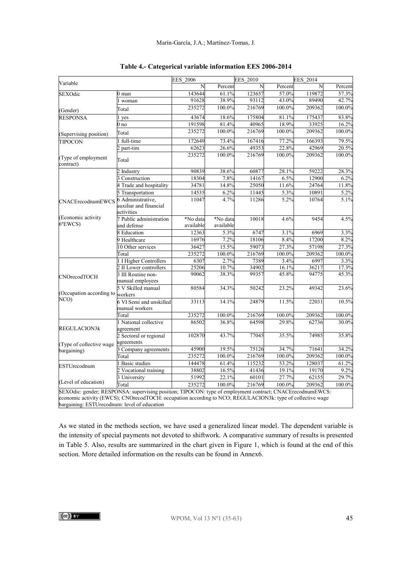| Variable                                |                                                                                                                                                                                                                         | <b>EES 2006</b>       |                       | <b>EES 2010</b> |         | <b>EES 2014</b> |         |  |
|-----------------------------------------|-------------------------------------------------------------------------------------------------------------------------------------------------------------------------------------------------------------------------|-----------------------|-----------------------|-----------------|---------|-----------------|---------|--|
|                                         |                                                                                                                                                                                                                         | N                     | Percent               | N               | Percent | N               | Percent |  |
| SEXOdic                                 | 0 man                                                                                                                                                                                                                   | 143644                | 61.1%                 | 123657          | 57.0%   | 119872          | 57.3%   |  |
|                                         | woman                                                                                                                                                                                                                   | 91628                 | 38.9%                 | 93112           | 43.0%   | 89490           | 42.7%   |  |
| (Gender)                                | Total                                                                                                                                                                                                                   | 235272                | 100.0%                | 216769          | 100.0%  | 209362          | 100.0%  |  |
| <b>RESPONSA</b>                         | 1 yes                                                                                                                                                                                                                   | 43674                 | 18.6%                 | 175804          | 81.1%   | 175437          | 83.8%   |  |
|                                         | 0 no                                                                                                                                                                                                                    | 191598                | 81.4%                 | 40965           | 18.9%   | 33925           | 16.2%   |  |
| (Supervising position)                  | Total                                                                                                                                                                                                                   | 235272                | 100.0%                | 216769          | 100.0%  | 209362          | 100.0%  |  |
| <b>TIPOCON</b>                          | 1 full-time                                                                                                                                                                                                             | 172649                | 73.4%                 | 167416          | 77.2%   | 166393          | 79.5%   |  |
|                                         | 2 part-tim                                                                                                                                                                                                              | 62623                 | 26.6%                 | 49353           | 22.8%   | 42969           | 20.5%   |  |
| (Type of employment<br>contract)        | Total                                                                                                                                                                                                                   | 235272                | 100.0%                | 216769          | 100.0%  | 209362          | 100.0%  |  |
|                                         | 2 Industry                                                                                                                                                                                                              | 90839                 | 38.6%                 | 60877           | 28.1%   | 59222           | 28.3%   |  |
|                                         | 3 Construction                                                                                                                                                                                                          | 18304                 | 7.8%                  | 14167           | 6.5%    | 12900           | 6.2%    |  |
|                                         | 4 Trade and hospitality                                                                                                                                                                                                 | 34781                 | 14.8%                 | 25050           | 11.6%   | 24764           | 11.8%   |  |
|                                         | 5 Transportation                                                                                                                                                                                                        | 14535                 | 6.2%                  | 11445           | 5.3%    | 10891           | 5.2%    |  |
| CNACErecodnumEWCS                       | 6 Administrative.<br>auxiliar and financial<br>activities                                                                                                                                                               | 11047                 | 4.7%                  | 11286           | 5.2%    | 10764           | 5.1%    |  |
| (Economic activity<br>$6^{\circ}$ EWCS) | 7 Public administration<br>and defense                                                                                                                                                                                  | *No data<br>available | *No data<br>available | 10018           | 4.6%    | 9454            | 4.5%    |  |
|                                         | 8 Education                                                                                                                                                                                                             | 12363                 | 5.3%                  | 6747            | 3.1%    | 6969            | 3.3%    |  |
|                                         | 9 Healthcare                                                                                                                                                                                                            | 16976                 | 7.2%                  | 18106           | 8.4%    | 17200           | 8.2%    |  |
|                                         | 0 Other services                                                                                                                                                                                                        | 36427                 | 15.5%                 | 59073           | 27.3%   | 57198           | 27.3%   |  |
|                                         | Total                                                                                                                                                                                                                   | 235272                | 100.0%                | 216769          | 100.0%  | 209362          | 100.0%  |  |
|                                         | 1 I Higher Controllers                                                                                                                                                                                                  | 6307                  | 2.7%                  | 7389            | 3.4%    | 6997            | 3.3%    |  |
|                                         | 2 II Lower controllers                                                                                                                                                                                                  | 25206                 | 10.7%                 | 34902           | 16.1%   | 36217           | 17.3%   |  |
| CNOrecodTOCH                            | 3 III Routine non-<br>manual employees                                                                                                                                                                                  | 90062                 | 38.3%                 | 99357           | 45.8%   | 94775           | 45.3%   |  |
| (Occupation according to workers        | 5 V Skilled manual                                                                                                                                                                                                      | 80584                 | 34.3%                 | 50242           | 23.2%   | 49342           | 23.6%   |  |
| NCO)                                    | 6 VI Semi and unskilled<br>manual workers                                                                                                                                                                               | 33113                 | 14.1%                 | 24879           | 11.5%   | 22031           | 10.5%   |  |
|                                         | Total                                                                                                                                                                                                                   | 235272                | 100.0%                | 216769          | 100.0%  | 209362          | 100.0%  |  |
| REGULACION3k                            | 1 National collective<br>agreement                                                                                                                                                                                      | 86502                 | 36.8%                 | 64598           | 29.8%   | 62736           | 30.0%   |  |
|                                         | 2 Sectoral or regional                                                                                                                                                                                                  | 102870                | 43.7%                 | 77045           | 35.5%   | 74985           | 35.8%   |  |
| (Type of collective wage                | agreements                                                                                                                                                                                                              |                       |                       |                 |         |                 |         |  |
| bargaining)                             | 3 Company agreements                                                                                                                                                                                                    | 45900                 | 19.5%                 | 75126           | 34.7%   | 71641           | 34.2%   |  |
|                                         | Total                                                                                                                                                                                                                   | 235272                | 100.0%                | 216769          | 100.0%  | 209362          | 100.0%  |  |
| <b>ESTUrecodnum</b>                     | <b>Basic</b> studies                                                                                                                                                                                                    | 144478                | 61.4%                 | 115232          | 53.2%   | 128037          | 61.2%   |  |
|                                         | 2 Vocational training                                                                                                                                                                                                   | 38802                 | 16.5%                 | 41436           | 19.1%   | 19170           | 9.2%    |  |
|                                         | 3 University                                                                                                                                                                                                            | 51992                 | 22.1%                 | 60101           | 27.7%   | 62155           | 29.7%   |  |
| (Level of education)                    | Total                                                                                                                                                                                                                   | 235272                | 100.0%                | 216769          | 100.0%  | 209362          | 100.0%  |  |
|                                         | SEXOdic: gender; RESPONSA: supervising position; TIPOCON: type of employment contract; CNACErecodnumEWCS:<br>economic activity (EWCS): CNOrecodTOCH: occupation according to NCO; REGULACION3k: type of collective wage |                       |                       |                 |         |                 |         |  |

| Table 4.- Categorical variable information EES 2006-2014 |  |  |  |
|----------------------------------------------------------|--|--|--|
|----------------------------------------------------------|--|--|--|

economic activity (EWCS); CNOrecodTOCH: occupation according to NCO; REGULACION3k: type of collective wage bargaining: ESTUrecodnum: level of education

As we stated in the methods section, we have used a generalized linear model. The dependent variable is the intensity of special payments not devoted to shiftwork. A comparative summary of results is presented in Table 5. Also, results are summarized in the chart given in Figure 1, which is found at the end of this section. More detailed information on the results can be found in Annex6.

 $(cc)$  by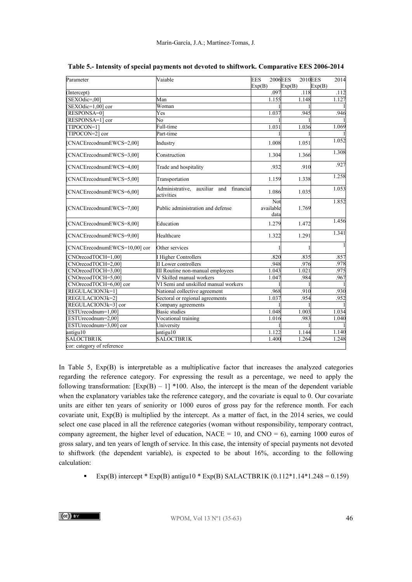| Parameter                     | Vaiable                                                       | 2006EES<br><b>EES</b>    | 2010EES | 2014   |
|-------------------------------|---------------------------------------------------------------|--------------------------|---------|--------|
|                               |                                                               | Exp(B)                   | Exp(B)  | Exp(B) |
| (Intercept)                   |                                                               | .097                     | .118    | .112   |
| SEXOdic=,00]                  | Man                                                           | 1.155                    | 1.148   | 1.127  |
| SEXOdic=1,00] cor             | Woman                                                         |                          |         |        |
| RESPONSA=01                   | Yes                                                           | 1.037                    | .945    | .946   |
| RESPONSA=1] cor               | No                                                            |                          |         |        |
| TIPOCON=1                     | Full-time                                                     | 1.031                    | 1.036   | 1.069  |
| TIPOCON=2] cor                | Part-time                                                     |                          |         |        |
| [CNACErecodnumEWCS=2,00]      | Industry                                                      | 1.008                    | 1.051   | 1.052  |
| [CNACErecodnumEWCS=3,00]      | Construction                                                  | 1.304                    | 1.366   | 1.308  |
| [CNACErecodnumEWCS=4,00]      | Trade and hospitality                                         | .932                     | .910    | .927   |
| [CNACErecodnumEWCS=5,00]      | Transportation                                                | 1.159                    | 1.338   | 1.258  |
| [CNACErecodnumEWCS=6,00]      | Administrative,<br>auxiliar<br>financial<br>and<br>activities | 1.086                    | 1.035   | 1.053  |
| [CNACErecodnumEWCS=7,00]      | Public administration and defense                             | Not<br>available<br>data | 1.769   | 1.852  |
| [CNACErecodnumEWCS=8,00]      | Education                                                     | 1.279                    | 1.472   | 1.456  |
| [CNACErecodnumEWCS=9,00]      | Healthcare                                                    | 1.322                    | 1.291   | 1.341  |
| [CNACErecodnumEWCS=10,00] cor | Other services                                                |                          |         | 1      |
| CNOrecodTOCH=1,00]            | <b>Higher Controllers</b>                                     | .820                     | .835    | .857   |
| CNOrecodTOCH=2.001            | II Lower controllers                                          | .948                     | .976    | .978   |
| CNOrecodTOCH=3,00]            | III Routine non-manual employees                              | 1.043                    | 1.021   | .975   |
| CNOrecodTOCH=5,00]            | V Skilled manual workers                                      | 1.047                    | .984    | .967   |
| CNOrecodTOCH=6,00] cor        | VI Semi and unskilled manual workers                          |                          |         |        |
| [REGULACION3k=1]              | National collective agreement                                 | .968                     | .910    | .930   |
| [REGULACION3k=2]              | Sectoral or regional agreements                               | 1.037                    | .954    | .952   |
| REGULACION3k=3] cor           | Company agreements                                            |                          |         |        |
| ESTUrecodnum=1.001            | <b>Basic studies</b>                                          | 1.048                    | 1.003   | 1.034  |
| ESTUrecodnum=2,00]            | Vocational training                                           | 1.016                    | .983    | 1.040  |
| ESTUrecodnum=3,00] cor        | University                                                    |                          |         |        |
| antigu10                      | antigu10                                                      | 1.122                    | 1.144   | 1.140  |
| <b>SALOCTBR1K</b>             | SALOCTBR1K                                                    | 1.400                    | 1.264   | 1.248  |
| cor: category of reference    |                                                               |                          |         |        |

**Table 5.- Intensity of special payments not devoted to shiftwork. Comparative EES 2006-2014**

In Table 5, Exp(B) is interpretable as a multiplicative factor that increases the analyzed categories regarding the reference category. For expressing the result as a percentage, we need to apply the following transformation:  $[Exp(B) - 1]$  \*100. Also, the intercept is the mean of the dependent variable when the explanatory variables take the reference category, and the covariate is equal to 0. Our covariate units are either ten years of seniority or 1000 euros of gross pay for the reference month. For each covariate unit, Exp(B) is multiplied by the intercept. As a matter of fact, in the 2014 series, we could select one case placed in all the reference categories (woman without responsibility, temporary contract, company agreement, the higher level of education, NACE = 10, and CNO = 6), earning 1000 euros of gross salary, and ten years of length of service. In this case, the intensity of special payments not devoted to shiftwork (the dependent variable), is expected to be about 16%, according to the following calculation:

Exp(B) intercept \* Exp(B) antigu10 \* Exp(B) SALACTBR1K  $(0.112 * 1.14 * 1.248 = 0.159)$ 

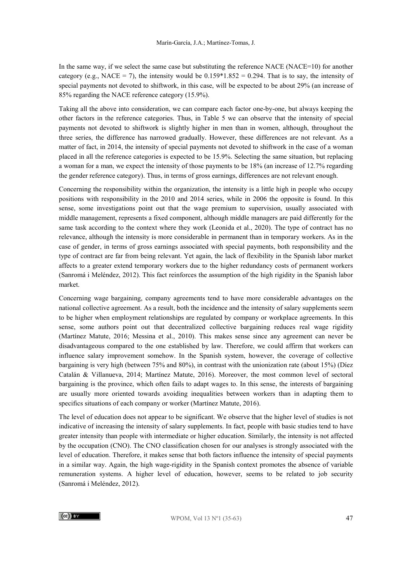In the same way, if we select the same case but substituting the reference NACE (NACE=10) for another category (e.g., NACE = 7), the intensity would be  $0.159*1.852 = 0.294$ . That is to say, the intensity of special payments not devoted to shiftwork, in this case, will be expected to be about 29% (an increase of 85% regarding the NACE reference category (15.9%).

Taking all the above into consideration, we can compare each factor one-by-one, but always keeping the other factors in the reference categories. Thus, in Table 5 we can observe that the intensity of special payments not devoted to shiftwork is slightly higher in men than in women, although, throughout the three series, the difference has narrowed gradually. However, these differences are not relevant. As a matter of fact, in 2014, the intensity of special payments not devoted to shiftwork in the case of a woman placed in all the reference categories is expected to be 15.9%. Selecting the same situation, but replacing a woman for a man, we expect the intensity of those payments to be 18% (an increase of 12.7% regarding the gender reference category). Thus, in terms of gross earnings, differences are not relevant enough.

Concerning the responsibility within the organization, the intensity is a little high in people who occupy positions with responsibility in the 2010 and 2014 series, while in 2006 the opposite is found. In this sense, some investigations point out that the wage premium to supervision, usually associated with middle management, represents a fixed component, although middle managers are paid differently for the same task according to the context where they work (Leonida et al., 2020). The type of contract has no relevance, although the intensity is more considerable in permanent than in temporary workers. As in the case of gender, in terms of gross earnings associated with special payments, both responsibility and the type of contract are far from being relevant. Yet again, the lack of flexibility in the Spanish labor market affects to a greater extend temporary workers due to the higher redundancy costs of permanent workers (Sanromá i Meléndez, 2012). This fact reinforces the assumption of the high rigidity in the Spanish labor market.

Concerning wage bargaining, company agreements tend to have more considerable advantages on the national collective agreement. As a result, both the incidence and the intensity of salary supplements seem to be higher when employment relationships are regulated by company or workplace agreements. In this sense, some authors point out that decentralized collective bargaining reduces real wage rigidity (Martínez Matute, 2016; Messina et al., 2010). This makes sense since any agreement can never be disadvantageous compared to the one established by law. Therefore, we could affirm that workers can influence salary improvement somehow. In the Spanish system, however, the coverage of collective bargaining is very high (between 75% and 80%), in contrast with the unionization rate (about 15%) (Díez Catalán & Villanueva, 2014; Martínez Matute, 2016). Moreover, the most common level of sectoral bargaining is the province, which often fails to adapt wages to. In this sense, the interests of bargaining are usually more oriented towards avoiding inequalities between workers than in adapting them to specifics situations of each company or worker (Martínez Matute, 2016).

The level of education does not appear to be significant. We observe that the higher level of studies is not indicative of increasing the intensity of salary supplements. In fact, people with basic studies tend to have greater intensity than people with intermediate or higher education. Similarly, the intensity is not affected by the occupation (CNO). The CNO classification chosen for our analyses is strongly associated with the level of education. Therefore, it makes sense that both factors influence the intensity of special payments in a similar way. Again, the high wage-rigidity in the Spanish context promotes the absence of variable remuneration systems. A higher level of education, however, seems to be related to job security (Sanromá i Meléndez, 2012).

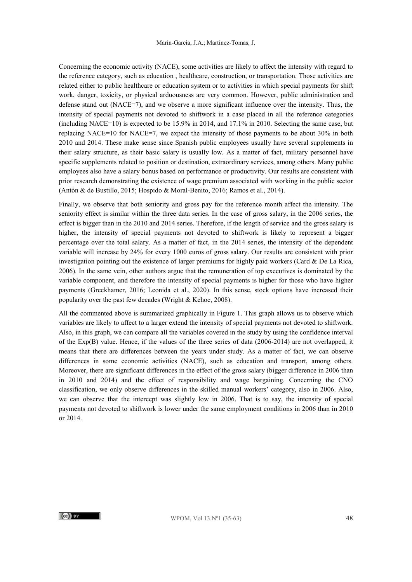Concerning the economic activity (NACE), some activities are likely to affect the intensity with regard to the reference category, such as education , healthcare, construction, or transportation. Those activities are related either to public healthcare or education system or to activities in which special payments for shift work, danger, toxicity, or physical arduousness are very common. However, public administration and defense stand out (NACE=7), and we observe a more significant influence over the intensity. Thus, the intensity of special payments not devoted to shiftwork in a case placed in all the reference categories (including NACE=10) is expected to be 15.9% in 2014, and 17.1% in 2010. Selecting the same case, but replacing NACE=10 for NACE=7, we expect the intensity of those payments to be about 30% in both 2010 and 2014. These make sense since Spanish public employees usually have several supplements in their salary structure, as their basic salary is usually low. As a matter of fact, military personnel have specific supplements related to position or destination, extraordinary services, among others. Many public employees also have a salary bonus based on performance or productivity. Our results are consistent with prior research demonstrating the existence of wage premium associated with working in the public sector (Antón & de Bustillo, 2015; Hospido & Moral-Benito, 2016; Ramos et al., 2014).

Finally, we observe that both seniority and gross pay for the reference month affect the intensity. The seniority effect is similar within the three data series. In the case of gross salary, in the 2006 series, the effect is bigger than in the 2010 and 2014 series. Therefore, if the length of service and the gross salary is higher, the intensity of special payments not devoted to shiftwork is likely to represent a bigger percentage over the total salary. As a matter of fact, in the 2014 series, the intensity of the dependent variable will increase by 24% for every 1000 euros of gross salary. Our results are consistent with prior investigation pointing out the existence of larger premiums for highly paid workers (Card  $\&$  De La Rica, 2006). In the same vein, other authors argue that the remuneration of top executives is dominated by the variable component, and therefore the intensity of special payments is higher for those who have higher payments (Greckhamer, 2016; Leonida et al., 2020). In this sense, stock options have increased their popularity over the past few decades (Wright & Kehoe, 2008).

All the commented above is summarized graphically in Figure 1. This graph allows us to observe which variables are likely to affect to a larger extend the intensity of special payments not devoted to shiftwork. Also, in this graph, we can compare all the variables covered in the study by using the confidence interval of the Exp(B) value. Hence, if the values of the three series of data (2006-2014) are not overlapped, it means that there are differences between the years under study. As a matter of fact, we can observe differences in some economic activities (NACE), such as education and transport, among others. Moreover, there are significant differences in the effect of the gross salary (bigger difference in 2006 than in 2010 and 2014) and the effect of responsibility and wage bargaining. Concerning the CNO classification, we only observe differences in the skilled manual workers' category, also in 2006. Also, we can observe that the intercept was slightly low in 2006. That is to say, the intensity of special payments not devoted to shiftwork is lower under the same employment conditions in 2006 than in 2010 or 2014.

 $\left(\mathrm{cc}\right)$  BY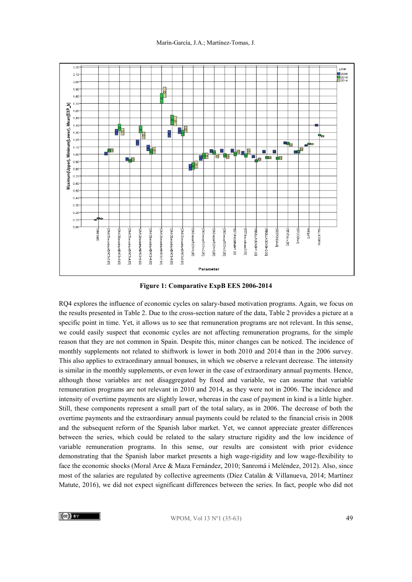

**Figure 1: Comparative ExpB EES 2006-2014**

RQ4 explores the influence of economic cycles on salary-based motivation programs. Again, we focus on the results presented in Table 2. Due to the cross-section nature of the data, Table 2 provides a picture at a specific point in time. Yet, it allows us to see that remuneration programs are not relevant. In this sense, we could easily suspect that economic cycles are not affecting remuneration programs, for the simple reason that they are not common in Spain. Despite this, minor changes can be noticed. The incidence of monthly supplements not related to shiftwork is lower in both 2010 and 2014 than in the 2006 survey. This also applies to extraordinary annual bonuses, in which we observe a relevant decrease. The intensity is similar in the monthly supplements, or even lower in the case of extraordinary annual payments. Hence, although those variables are not disaggregated by fixed and variable, we can assume that variable remuneration programs are not relevant in 2010 and 2014, as they were not in 2006. The incidence and intensity of overtime payments are slightly lower, whereas in the case of payment in kind is a little higher. Still, these components represent a small part of the total salary, as in 2006. The decrease of both the overtime payments and the extraordinary annual payments could be related to the financial crisis in 2008 and the subsequent reform of the Spanish labor market. Yet, we cannot appreciate greater differences between the series, which could be related to the salary structure rigidity and the low incidence of variable remuneration programs. In this sense, our results are consistent with prior evidence demonstrating that the Spanish labor market presents a high wage-rigidity and low wage-flexibility to face the economic shocks (Moral Arce & Maza Fernández, 2010; Sanromá i Meléndez, 2012). Also, since most of the salaries are regulated by collective agreements (Díez Catalán & Villanueva, 2014; Martínez Matute, 2016), we did not expect significant differences between the series. In fact, people who did not

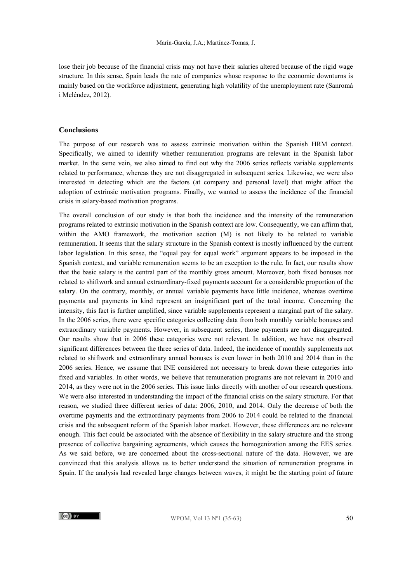lose their job because of the financial crisis may not have their salaries altered because of the rigid wage structure. In this sense, Spain leads the rate of companies whose response to the economic downturns is mainly based on the workforce adjustment, generating high volatility of the unemployment rate (Sanromá i Meléndez, 2012).

#### **Conclusions**

The purpose of our research was to assess extrinsic motivation within the Spanish HRM context. Specifically, we aimed to identify whether remuneration programs are relevant in the Spanish labor market. In the same vein, we also aimed to find out why the 2006 series reflects variable supplements related to performance, whereas they are not disaggregated in subsequent series. Likewise, we were also interested in detecting which are the factors (at company and personal level) that might affect the adoption of extrinsic motivation programs. Finally, we wanted to assess the incidence of the financial crisis in salary-based motivation programs.

The overall conclusion of our study is that both the incidence and the intensity of the remuneration programs related to extrinsic motivation in the Spanish context are low. Consequently, we can affirm that, within the AMO framework, the motivation section (M) is not likely to be related to variable remuneration. It seems that the salary structure in the Spanish context is mostly influenced by the current labor legislation. In this sense, the "equal pay for equal work" argument appears to be imposed in the Spanish context, and variable remuneration seems to be an exception to the rule. In fact, our results show that the basic salary is the central part of the monthly gross amount. Moreover, both fixed bonuses not related to shiftwork and annual extraordinary-fixed payments account for a considerable proportion of the salary. On the contrary, monthly, or annual variable payments have little incidence, whereas overtime payments and payments in kind represent an insignificant part of the total income. Concerning the intensity, this fact is further amplified, since variable supplements represent a marginal part of the salary. In the 2006 series, there were specific categories collecting data from both monthly variable bonuses and extraordinary variable payments. However, in subsequent series, those payments are not disaggregated. Our results show that in 2006 these categories were not relevant. In addition, we have not observed significant differences between the three series of data. Indeed, the incidence of monthly supplements not related to shiftwork and extraordinary annual bonuses is even lower in both 2010 and 2014 than in the 2006 series. Hence, we assume that INE considered not necessary to break down these categories into fixed and variables. In other words, we believe that remuneration programs are not relevant in 2010 and 2014, as they were not in the 2006 series. This issue links directly with another of our research questions. We were also interested in understanding the impact of the financial crisis on the salary structure. For that reason, we studied three different series of data: 2006, 2010, and 2014. Only the decrease of both the overtime payments and the extraordinary payments from 2006 to 2014 could be related to the financial crisis and the subsequent reform of the Spanish labor market. However, these differences are no relevant enough. This fact could be associated with the absence of flexibility in the salary structure and the strong presence of collective bargaining agreements, which causes the homogenization among the EES series. As we said before, we are concerned about the cross-sectional nature of the data. However, we are convinced that this analysis allows us to better understand the situation of remuneration programs in Spain. If the analysis had revealed large changes between waves, it might be the starting point of future



WPOM, Vol 13  $N^{\circ}1$  (35-63) 50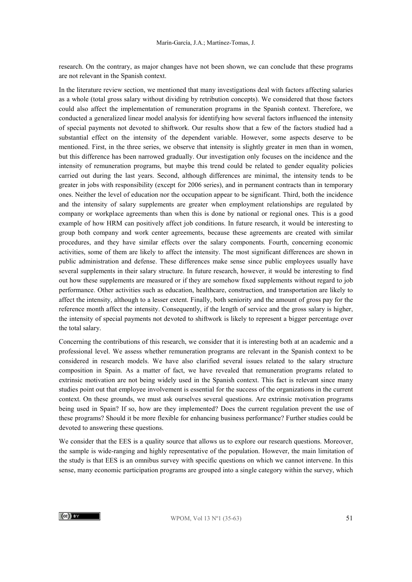research. On the contrary, as major changes have not been shown, we can conclude that these programs are not relevant in the Spanish context.

In the literature review section, we mentioned that many investigations deal with factors affecting salaries as a whole (total gross salary without dividing by retribution concepts). We considered that those factors could also affect the implementation of remuneration programs in the Spanish context. Therefore, we conducted a generalized linear model analysis for identifying how several factors influenced the intensity of special payments not devoted to shiftwork. Our results show that a few of the factors studied had a substantial effect on the intensity of the dependent variable. However, some aspects deserve to be mentioned. First, in the three series, we observe that intensity is slightly greater in men than in women, but this difference has been narrowed gradually. Our investigation only focuses on the incidence and the intensity of remuneration programs, but maybe this trend could be related to gender equality policies carried out during the last years. Second, although differences are minimal, the intensity tends to be greater in jobs with responsibility (except for 2006 series), and in permanent contracts than in temporary ones. Neither the level of education nor the occupation appear to be significant. Third, both the incidence and the intensity of salary supplements are greater when employment relationships are regulated by company or workplace agreements than when this is done by national or regional ones. This is a good example of how HRM can positively affect job conditions. In future research, it would be interesting to group both company and work center agreements, because these agreements are created with similar procedures, and they have similar effects over the salary components. Fourth, concerning economic activities, some of them are likely to affect the intensity. The most significant differences are shown in public administration and defense. These differences make sense since public employees usually have several supplements in their salary structure. In future research, however, it would be interesting to find out how these supplements are measured or if they are somehow fixed supplements without regard to job performance. Other activities such as education, healthcare, construction, and transportation are likely to affect the intensity, although to a lesser extent. Finally, both seniority and the amount of gross pay for the reference month affect the intensity. Consequently, if the length of service and the gross salary is higher, the intensity of special payments not devoted to shiftwork is likely to represent a bigger percentage over the total salary.

Concerning the contributions of this research, we consider that it is interesting both at an academic and a professional level. We assess whether remuneration programs are relevant in the Spanish context to be considered in research models. We have also clarified several issues related to the salary structure composition in Spain. As a matter of fact, we have revealed that remuneration programs related to extrinsic motivation are not being widely used in the Spanish context. This fact is relevant since many studies point out that employee involvement is essential for the success of the organizations in the current context. On these grounds, we must ask ourselves several questions. Are extrinsic motivation programs being used in Spain? If so, how are they implemented? Does the current regulation prevent the use of these programs? Should it be more flexible for enhancing business performance? Further studies could be devoted to answering these questions.

We consider that the EES is a quality source that allows us to explore our research questions. Moreover, the sample is wide-ranging and highly representative of the population. However, the main limitation of the study is that EES is an omnibus survey with specific questions on which we cannot intervene. In this sense, many economic participation programs are grouped into a single category within the survey, which

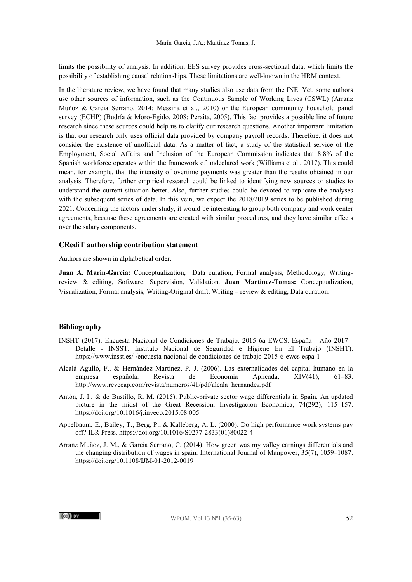limits the possibility of analysis. In addition, EES survey provides cross-sectional data, which limits the possibility of establishing causal relationships. These limitations are well-known in the HRM context.

In the literature review, we have found that many studies also use data from the INE. Yet, some authors use other sources of information, such as the Continuous Sample of Working Lives (CSWL) (Arranz Muñoz & García Serrano, 2014; Messina et al., 2010) or the European community household panel survey (ECHP) (Budría & Moro-Egido, 2008; Peraita, 2005). This fact provides a possible line of future research since these sources could help us to clarify our research questions. Another important limitation is that our research only uses official data provided by company payroll records. Therefore, it does not consider the existence of unofficial data. As a matter of fact, a study of the statistical service of the Employment, Social Affairs and Inclusion of the European Commission indicates that 8.8% of the Spanish workforce operates within the framework of undeclared work (Williams et al., 2017). This could mean, for example, that the intensity of overtime payments was greater than the results obtained in our analysis. Therefore, further empirical research could be linked to identifying new sources or studies to understand the current situation better. Also, further studies could be devoted to replicate the analyses with the subsequent series of data. In this vein, we expect the 2018/2019 series to be published during 2021. Concerning the factors under study, it would be interesting to group both company and work center agreements, because these agreements are created with similar procedures, and they have similar effects over the salary components.

#### **CRediT authorship contribution statement**

Authors are shown in alphabetical order.

**Juan A. Marin-Garcia:** Conceptualization, Data curation, Formal analysis, Methodology, Writingreview & editing, Software, Supervision, Validation. **Juan Martinez-Tomas:** Conceptualization, Visualization, Formal analysis, Writing-Original draft, Writing – review & editing, Data curation.

#### **Bibliography**

- INSHT (2017). Encuesta Nacional de Condiciones de Trabajo. 2015 6a EWCS. España Año 2017 Detalle - INSST. Instituto Nacional de Seguridad e Higiene En El Trabajo (INSHT). https://www.insst.es/-/encuesta-nacional-de-condiciones-de-trabajo-2015-6-ewcs-espa-1
- Alcalá Agulló, F., & Hernández Martínez, P. J. (2006). Las externalidades del capital humano en la empresa española. Revista de Economía Aplicada, XIV(41), 61–83. http://www.revecap.com/revista/numeros/41/pdf/alcala\_hernandez.pdf
- Antón, J. I., & de Bustillo, R. M. (2015). Public-private sector wage differentials in Spain. An updated picture in the midst of the Great Recession. Investigacion Economica, 74(292), 115–157. https://doi.org/10.1016/j.inveco.2015.08.005
- Appelbaum, E., Bailey, T., Berg, P., & Kalleberg, A. L. (2000). Do high performance work systems pay off? ILR Press. https://doi.org/10.1016/S0277-2833(01)80022-4
- Arranz Muñoz, J. M., & García Serrano, C. (2014). How green was my valley earnings differentials and the changing distribution of wages in spain. International Journal of Manpower, 35(7), 1059–1087. https://doi.org/10.1108/IJM-01-2012-0019

 $\left(\mathrm{cc}\right)$  BY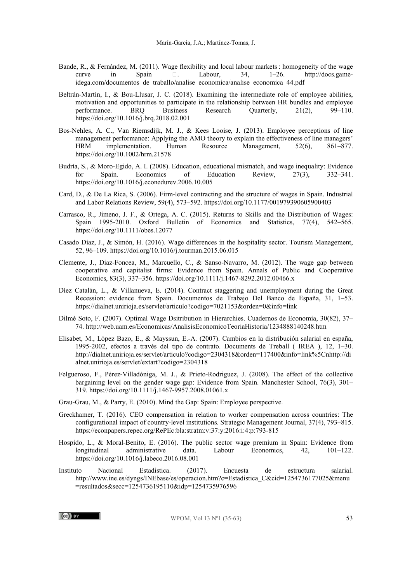- Bande, R., & Fernández, M. (2011). Wage flexibility and local labour markets : homogeneity of the wage curve in Spain  $\Box$  Labour, 34, 1-26. http://docs.gamecurve in Spain  $\Box$  Labour, 34,  $1-26$ . http://docs.gameidega.com/documentos\_de\_traballo/analise\_economica/analise\_economica\_44.pdf
- Beltrán-Martín, I., & Bou-Llusar, J. C. (2018). Examining the intermediate role of employee abilities, motivation and opportunities to participate in the relationship between HR bundles and employee<br>performance. BRO Business Research Ouarterly, 21(2), 99–110. performance. BRQ Business Research Quarterly,  $21(2)$ , https://doi.org/10.1016/j.brq.2018.02.001
- Bos-Nehles, A. C., Van Riemsdijk, M. J., & Kees Looise, J. (2013). Employee perceptions of line management performance: Applying the AMO theory to explain the effectiveness of line managers'<br>HRM implementation. Human Resource Management, 52(6), 861–877. HRM implementation. Human Resource Management, 52(6), 861–877. https://doi.org/10.1002/hrm.21578
- Budría, S., & Moro-Egido, A. I. (2008). Education, educational mismatch, and wage inequality: Evidence for Spain. Economics of Education Review, 27(3), 332–341. https://doi.org/10.1016/j.econedurev.2006.10.005
- Card, D., & De La Rica, S. (2006). Firm-level contracting and the structure of wages in Spain. Industrial and Labor Relations Review, 59(4), 573–592. https://doi.org/10.1177/001979390605900403
- Carrasco, R., Jimeno, J. F., & Ortega, A. C. (2015). Returns to Skills and the Distribution of Wages: Spain 1995-2010. Oxford Bulletin of Economics and Statistics, 77(4), 542–565. https://doi.org/10.1111/obes.12077
- Casado Díaz, J., & Simón, H. (2016). Wage differences in the hospitality sector. Tourism Management, 52, 96–109. https://doi.org/10.1016/j.tourman.2015.06.015
- Clemente, J., Diaz-Foncea, M., Marcuello, C., & Sanso-Navarro, M. (2012). The wage gap between cooperative and capitalist firms: Evidence from Spain. Annals of Public and Cooperative Economics, 83(3), 337–356. https://doi.org/10.1111/j.1467-8292.2012.00466.x
- Díez Catalán, L., & Villanueva, E. (2014). Contract staggering and unemployment during the Great Recession: evidence from Spain. Documentos de Trabajo Del Banco de España, 31, 1–53. https://dialnet.unirioja.es/servlet/articulo?codigo=7021153&orden=0&info=link
- Dilmé Soto, F. (2007). Optimal Wage Dsitribution in Hierarchies. Cuadernos de Economía, 30(82), 37– 74. http://web.uam.es/Economicas/AnalisisEconomicoTeoriaHistoria/1234888140248.htm
- Elisabet, M., López Bazo, E., & Mayssun, E.-A. (2007). Cambios en la distribución salarial en españa, 1995-2002, efectos a través del tipo de contrato. Documents de Treball ( IREA ), 12, 1–30. http://dialnet.unirioja.es/servlet/articulo?codigo=2304318&orden=117400&info=link%5Cnhttp://di alnet.unirioja.es/servlet/extart?codigo=2304318
- Felgueroso, F., Pérez-Villadóniga, M. J., & Prieto-Rodriguez, J. (2008). The effect of the collective bargaining level on the gender wage gap: Evidence from Spain. Manchester School, 76(3), 301– 319. https://doi.org/10.1111/j.1467-9957.2008.01061.x
- Grau-Grau, M., & Parry, E. (2010). Mind the Gap: Spain: Employee perspective.
- Greckhamer, T. (2016). CEO compensation in relation to worker compensation across countries: The configurational impact of country-level institutions. Strategic Management Journal, 37(4), 793–815. https://econpapers.repec.org/RePEc:bla:stratm:v:37:y:2016:i:4:p:793-815
- Hospido, L., & Moral-Benito, E. (2016). The public sector wage premium in Spain: Evidence from longitudinal administrative data. Labour Economics, 42, 101–122. https://doi.org/10.1016/j.labeco.2016.08.001
- Instituto Nacional Estadistica. (2017). Encuesta de estructura salarial. http://www.ine.es/dyngs/INEbase/es/operacion.htm?c=Estadistica\_C&cid=1254736177025&menu =resultados&secc=1254736195110&idp=1254735976596

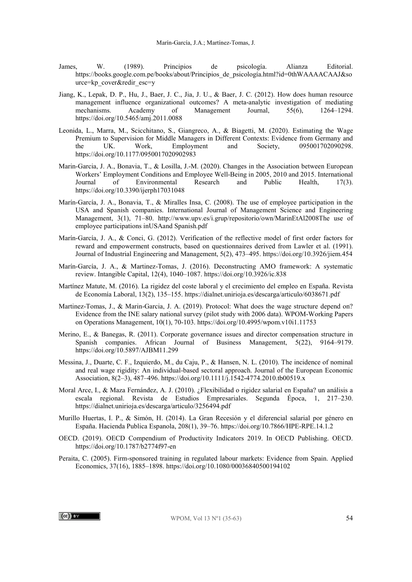- James, W. (1989). Principios de psicología. Alianza Editorial. https://books.google.com.pe/books/about/Principios\_de\_psicología.html?id=0thWAAAACAAJ&so urce=kp\_cover&redir\_esc=y
- Jiang, K., Lepak, D. P., Hu, J., Baer, J. C., Jia, J. U., & Baer, J. C. (2012). How does human resource management influence organizational outcomes? A meta-analytic investigation of mediating<br>mechanisms. Academy of Management Journal, 55(6), 1264–1294. Management https://doi.org/10.5465/amj.2011.0088
- Leonida, L., Marra, M., Scicchitano, S., Giangreco, A., & Biagetti, M. (2020). Estimating the Wage Premium to Supervision for Middle Managers in Different Contexts: Evidence from Germany and the UK. Work, Employment and Society, 095001702090298. https://doi.org/10.1177/0950017020902983
- Marin-Garcia, J. A., Bonavia, T., & Losilla, J.-M. (2020). Changes in the Association between European Workers' Employment Conditions and Employee Well-Being in 2005, 2010 and 2015. International Journal of Environmental Research and Public Health, 17(3). https://doi.org/10.3390/ijerph17031048
- Marín-García, J. A., Bonavia, T., & Miralles Insa, C. (2008). The use of employee participation in the USA and Spanish companies. International Journal of Management Science and Engineering Management, 3(1), 71–80. http://www.upv.es/i.grup/repositorio/own/MarinEtAl2008The use of employee participations inUSAand Spanish.pdf
- Marín-García, J. A., & Conci, G. (2012). Verification of the reflective model of first order factors for reward and empowerment constructs, based on questionnaires derived from Lawler et al. (1991). Journal of Industrial Engineering and Management, 5(2), 473–495. https://doi.org/10.3926/jiem.454
- Marín-García, J. A., & Martinez-Tomas, J. (2016). Deconstructing AMO framework: A systematic review. Intangible Capital, 12(4), 1040–1087. https://doi.org/10.3926/ic.838
- Martínez Matute, M. (2016). La rigidez del coste laboral y el crecimiento del empleo en España. Revista de Economía Laboral, 13(2), 135–155. https://dialnet.unirioja.es/descarga/articulo/6038671.pdf
- Martinez-Tomas, J., & Marin-Garcia, J. A. (2019). Protocol: What does the wage structure depend on? Evidence from the INE salary national survey (pilot study with 2006 data). WPOM-Working Papers on Operations Management, 10(1), 70-103. https://doi.org/10.4995/wpom.v10i1.11753
- Merino, E., & Banegas, R. (2011). Corporate governance issues and director compensation structure in Spanish companies. African Journal of Business Management, 5(22), 9164–9179. https://doi.org/10.5897/AJBM11.299
- Messina, J., Duarte, C. F., Izquierdo, M., du Caju, P., & Hansen, N. L. (2010). The incidence of nominal and real wage rigidity: An individual-based sectoral approach. Journal of the European Economic Association, 8(2–3), 487–496. https://doi.org/10.1111/j.1542-4774.2010.tb00519.x
- Moral Arce, I., & Maza Fernández, A. J. (2010). ¿Flexibilidad o rigidez salarial en España? un análisis a escala regional. Revista de Estudios Empresariales. Segunda Época, 1, 217–230. https://dialnet.unirioja.es/descarga/articulo/3256494.pdf
- Murillo Huertas, I. P., & Simón, H. (2014). La Gran Recesión y el diferencial salarial por género en España. Hacienda Publica Espanola, 208(1), 39–76. https://doi.org/10.7866/HPE-RPE.14.1.2
- OECD. (2019). OECD Compendium of Productivity Indicators 2019. In OECD Publishing. OECD. https://doi.org/10.1787/b2774f97-en
- Peraita, C. (2005). Firm-sponsored training in regulated labour markets: Evidence from Spain. Applied Economics, 37(16), 1885–1898. https://doi.org/10.1080/00036840500194102

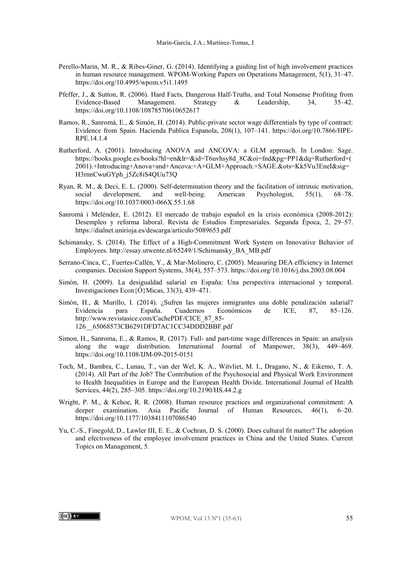- Perello-Marin, M. R., & Ribes-Giner, G. (2014). Identifying a guiding list of high involvement practices in human resource management. WPOM-Working Papers on Operations Management, 5(1), 31–47. https://doi.org/10.4995/wpom.v5i1.1495
- Pfeffer, J., & Sutton, R. (2006). Hard Facts, Dangerous Half-Truths, and Total Nonsense Profiting from Evidence-Based Management. Strategy & Leadership, 34, 35–42. https://doi.org/10.1108/10878570610652617
- Ramos, R., Sanromá, E., & Simón, H. (2014). Public-private sector wage differentials by type of contract: Evidence from Spain. Hacienda Publica Espanola, 208(1), 107–141. https://doi.org/10.7866/HPE-RPE.14.1.4
- Rutherford, A. (2001). Introducing ANOVA and ANCOVA: a GLM approach. In London: Sage. https://books.google.es/books?hl=en&lr=&id=T6uvhsy8d\_8C&oi=fnd&pg=PP1&dq=Rutherford+( 2001).+Introducing+Anova+and+Ancova:+A+GLM+Approach.+SAGE.&ots=Kk5Vu3EneI&sig= H3rnnCwuGYph\_j5Zc8iS4QUu73Q
- Ryan, R. M., & Deci, E. L. (2000). Self-determination theory and the facilitation of intrinsic motivation, social development, and well-being. American Psychologist, 55(1), 68–78. social development, and well-being. American Psychologist, 55(1), 68–78. https://doi.org/10.1037/0003-066X.55.1.68
- Sanromá i Meléndez, E. (2012). El mercado de trabajo español en la crisis económica (2008-2012): Desempleo y reforma laboral. Revista de Estudios Empresariales. Segunda Época, 2, 29–57. https://dialnet.unirioja.es/descarga/articulo/5089653.pdf
- Schimansky, S. (2014). The Effect of a High-Commitment Work System on Innovative Behavior of Employees. http://essay.utwente.nl/65249/1/Schimansky\_BA\_MB.pdf
- Serrano-Cinca, C., Fuertes-Callén, Y., & Mar-Molinero, C. (2005). Measuring DEA efficiency in Internet companies. Decision Support Systems, 38(4), 557–573. https://doi.org/10.1016/j.dss.2003.08.004
- Simón, H. (2009). La desigualdad salarial en España: Una perspectiva internacional y temporal. Investigaciones Econ{Ó}Micas, 33(3), 439–471.
- Simón, H., & Murillo, I. (2014). ¿Sufren las mujeres inmigrantes una doble penalización salarial? Evidencia para España. Cuadernos Económicos de ICE, 87, 85–126. http://www.revistasice.com/CachePDF/CICE\_87\_85- 126\_\_65068573CB6291DFD7AC1CC34DDD2BBF.pdf
- Simon, H., Sanroma, E., & Ramos, R. (2017). Full- and part-time wage differences in Spain: an analysis along the wage distribution. International Journal of Manpower, 38(3), 449–469. https://doi.org/10.1108/IJM-09-2015-0151
- Toch, M., Bambra, C., Lunau, T., van der Wel, K. A., Witvliet, M. I., Dragano, N., & Eikemo, T. A. (2014). All Part of the Job? The Contribution of the Psychosocial and Physical Work Environment to Health Inequalities in Europe and the European Health Divide. International Journal of Health Services, 44(2), 285–305. https://doi.org/10.2190/HS.44.2.g
- Wright, P. M., & Kehoe, R. R. (2008). Human resource practices and organizational commitment: A deeper examination. Asia Pacific Journal of Human Resources, 46(1), 6–20. https://doi.org/10.1177/1038411107086540
- Yu, C.-S., Finegold, D., Lawler III, E. E., & Cochran, D. S. (2000). Does cultural fit matter? The adoption and efectiveness of the employee involvement practices in China and the United States. Current Topics on Management, 5.

 $(cc)$  BY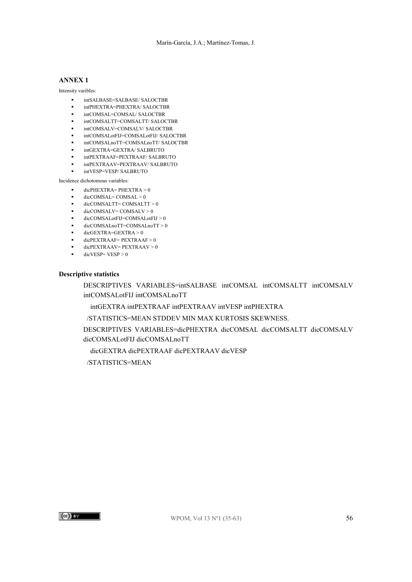## **ANNEX 1**

Intensity varibles:

- intSALBASE=SALBASE/ SALOCTBR
- intPHEXTRA=PHEXTRA/ SALOCTBR
- $\blacksquare$  intCOMSAL=COMSAL/ SALOCTBR
- intCOMSALTT=COMSALTT/ SALOCTBR
- intCOMSALV=COMSALV/ SALOCTBR
- intCOMSALotFIJ=COMSALotFIJ/ SALOCTBR
- intCOMSALnoTT=COMSALnoTT/ SALOCTBR
- intGEXTRA=GEXTRA/ SALBRUTO
- intPEXTRAAF=PEXTRAAF/ SALBRUTO
- intPEXTRAAV=PEXTRAAV/ SALBRUTO intVESP=VESP/ SALBRUTO

Incidence dichotomous variables:

- dicPHEXTRA= PHEXTRA > 0
- dicCOMSAL= COMSAL > 0
- $\bullet$  dicCOMSALTT= COMSALTT > 0
- $\bullet$  dicCOMSALV = COMSALV > 0
- dicCOMSALotFIJ=COMSALotFIJ > 0
- dicCOMSALnoTT=COMSALnoTT > 0
- $\bullet$  dicGEXTRA=GEXTRA > 0
- $\bullet$  dicPEXTRAAF = PEXTRAAF > 0
- dicPEXTRAAV= PEXTRAAV > 0
- $\bullet$  dicVESP= VESP > 0

#### **Descriptive statistics**

DESCRIPTIVES VARIABLES=intSALBASE intCOMSAL intCOMSALTT intCOMSALV intCOMSALotFIJ intCOMSALnoTT

intGEXTRA intPEXTRAAF intPEXTRAAV intVESP intPHEXTRA

/STATISTICS=MEAN STDDEV MIN MAX KURTOSIS SKEWNESS.

DESCRIPTIVES VARIABLES=dicPHEXTRA dicCOMSAL dicCOMSALTT dicCOMSALV dicCOMSALotFIJ dicCOMSALnoTT

dicGEXTRA dicPEXTRAAF dicPEXTRAAV dicVESP

/STATISTICS=MEAN

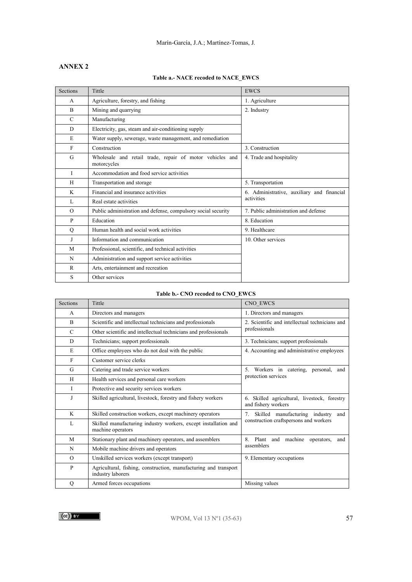## **ANNEX 2**

## **Table a.- NACE recoded to NACE\_EWCS**

| <b>Sections</b> | Tittle                                                                  | <b>EWCS</b>                                |
|-----------------|-------------------------------------------------------------------------|--------------------------------------------|
| A               | Agriculture, forestry, and fishing                                      | 1. Agriculture                             |
| $\mathbf{B}$    | Mining and quarrying                                                    | 2. Industry                                |
| $\mathcal{C}$   | Manufacturing                                                           |                                            |
| D               | Electricity, gas, steam and air-conditioning supply                     |                                            |
| E               | Water supply, sewerage, waste management, and remediation               |                                            |
| $\mathbf{F}$    | Construction                                                            | 3. Construction                            |
| G               | Wholesale and retail trade, repair of motor vehicles and<br>motorcycles | 4. Trade and hospitality                   |
| L               | Accommodation and food service activities                               |                                            |
| H               | Transportation and storage                                              | 5. Transportation                          |
| K               | Financial and insurance activities                                      | 6. Administrative, auxiliary and financial |
| L               | Real estate activities                                                  | activities                                 |
| $\Omega$        | Public administration and defense, compulsory social security           | 7. Public administration and defense       |
| P               | Education                                                               | 8. Education                               |
| Q               | Human health and social work activities                                 | 9. Healthcare                              |
| J               | Information and communication                                           | 10. Other services                         |
| M               | Professional, scientific, and technical activities                      |                                            |
| N               | Administration and support service activities                           |                                            |
| R               | Arts, entertainment and recreation                                      |                                            |
| S               | Other services                                                          |                                            |

## **Table b.- CNO recoded to CNO\_EWCS**

| <b>Sections</b> | Tittle                                                                                | CNO EWCS                                                            |
|-----------------|---------------------------------------------------------------------------------------|---------------------------------------------------------------------|
| A               | Directors and managers                                                                | 1. Directors and managers                                           |
| $\overline{B}$  | Scientific and intellectual technicians and professionals                             | 2. Scientific and intellectual technicians and                      |
| $\mathcal{C}$   | Other scientific and intellectual technicians and professionals                       | professionals                                                       |
| D               | Technicians; support professionals                                                    | 3. Technicians; support professionals                               |
| E               | Office employees who do not deal with the public                                      | 4. Accounting and administrative employees                          |
| $\mathbf{F}$    | Customer service clerks                                                               |                                                                     |
| G               | Catering and trade service workers                                                    | Workers in catering, personal,<br>5.<br>and                         |
| H               | Health services and personal care workers                                             | protection services                                                 |
| L               | Protective and security services workers                                              |                                                                     |
| J               | Skilled agricultural, livestock, forestry and fishery workers                         | 6. Skilled agricultural, livestock, forestry<br>and fishery workers |
| K               | Skilled construction workers, except machinery operators                              | 7.<br>Skilled manufacturing industry<br>and                         |
| L               | Skilled manufacturing industry workers, except installation and<br>machine operators  | construction craftspersons and workers                              |
| M               | Stationary plant and machinery operators, and assemblers                              | 8. Plant and machine operators,<br>and                              |
| N               | Mobile machine drivers and operators                                                  | assemblers                                                          |
| $\Omega$        | Unskilled services workers (except transport)                                         | 9. Elementary occupations                                           |
| P               | Agricultural, fishing, construction, manufacturing and transport<br>industry laborers |                                                                     |
| Q               | Armed forces occupations                                                              | Missing values                                                      |

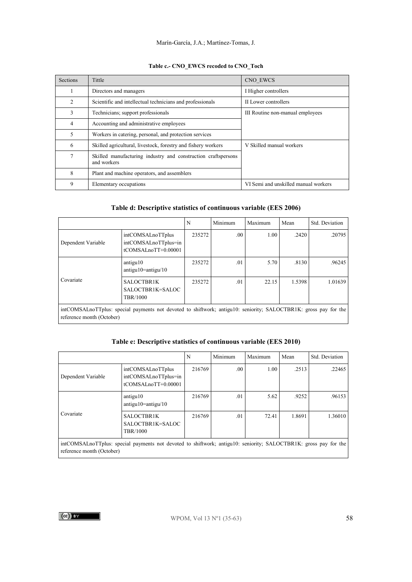#### Marín-García, J.A.; Martínez-Tomas, J.

## **Table c.- CNO\_EWCS recoded to CNO\_Toch**

| <b>Sections</b> | Tittle                                                                       | CNO EWCS                             |
|-----------------|------------------------------------------------------------------------------|--------------------------------------|
| л.              | Directors and managers                                                       | I Higher controllers                 |
| 2               | Scientific and intellectual technicians and professionals                    | II Lower controllers                 |
| 3               | Technicians; support professionals                                           | III Routine non-manual employees     |
| 4               | Accounting and administrative employees                                      |                                      |
| 5               | Workers in catering, personal, and protection services                       |                                      |
| 6               | Skilled agricultural, livestock, forestry and fishery workers                | V Skilled manual workers             |
| 7               | Skilled manufacturing industry and construction craftspersons<br>and workers |                                      |
| 8               | Plant and machine operators, and assemblers                                  |                                      |
| 9               | Elementary occupations                                                       | VI Semi and unskilled manual workers |

### **Table d: Descriptive statistics of continuous variable (EES 2006)**

|                                                                                                                                               |                                                                        | N      | Minimum | Maximum | Mean   | Std. Deviation |
|-----------------------------------------------------------------------------------------------------------------------------------------------|------------------------------------------------------------------------|--------|---------|---------|--------|----------------|
| Dependent Variable                                                                                                                            | intCOMSALnoTTplus<br>intCOMSALnoTTplus=in<br>$t$ COMSAL $noTT+0.00001$ | 235272 | .00     | 1.00    | .2420  | .20795         |
|                                                                                                                                               | antigu10<br>$antigu10 = antigu/10$                                     | 235272 | .01     | 5.70    | .8130  | .96245         |
| Covariate                                                                                                                                     | SALOCTBR1K<br>SALOCTBR1K=SALOC<br>TBR/1000                             | 235272 | .01     | 22.15   | 1.5398 | 1.01639        |
| intCOMSALnoTTplus: special payments not devoted to shiftwork; antigu10: seniority; SALOCTBR1K: gross pay for the<br>reference month (October) |                                                                        |        |         |         |        |                |

## **Table e: Descriptive statistics of continuous variable (EES 2010)**

|                                                                                                                                               |                                                                     | N      | Minimum | Maximum | Mean   | Std. Deviation |  |  |  |
|-----------------------------------------------------------------------------------------------------------------------------------------------|---------------------------------------------------------------------|--------|---------|---------|--------|----------------|--|--|--|
| Dependent Variable                                                                                                                            | intCOMSALnoTTplus<br>intCOMSALnoTTplus=in<br>$t$ COMSALnoTT+0.00001 | 216769 | .00.    | 1.00    | .2513  | .22465         |  |  |  |
| Covariate                                                                                                                                     | antigu10<br>$antigu10 = antigu/10$                                  | 216769 | .01     | 5.62    | .9252  | .96153         |  |  |  |
|                                                                                                                                               | SALOCTBR1K<br>SALOCTBR1K=SALOC<br><b>TBR/1000</b>                   | 216769 | .01     | 72.41   | 1.8691 | 1.36010        |  |  |  |
| intCOMSALnoTTplus: special payments not devoted to shiftwork; antigu10: seniority; SALOCTBR1K: gross pay for the<br>reference month (October) |                                                                     |        |         |         |        |                |  |  |  |

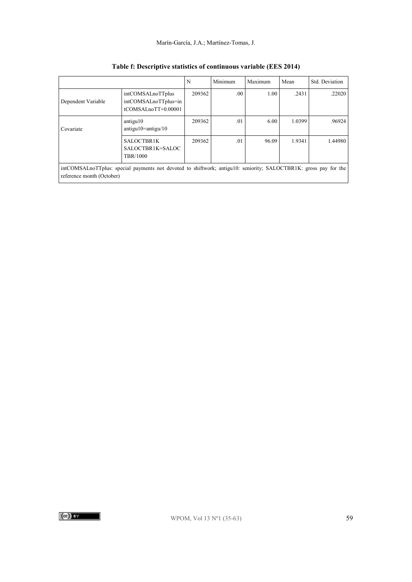#### Marín-García, J.A.; Martínez-Tomas, J.

|                                                                                                                                               |                                                                         | N      | Minimum | Maximum | Mean   | Std. Deviation |  |  |
|-----------------------------------------------------------------------------------------------------------------------------------------------|-------------------------------------------------------------------------|--------|---------|---------|--------|----------------|--|--|
| Dependent Variable                                                                                                                            | intCOMSALnoTTplus<br>intCOMSALnoTTplus=in<br>$t$ COMSAL $n$ oTT+0.00001 | 209362 | .00.    | 1.00    | .2431  | .22020         |  |  |
| Covariate                                                                                                                                     | antigu10<br>$antigu10 = antigu/10$                                      | 209362 | .01     | 6.00    | 1.0399 | .96924         |  |  |
|                                                                                                                                               | SALOCTBR1K<br>SALOCTBR1K=SALOC<br>TBR/1000                              | 209362 | .01     | 96.09   | 1.9341 | 1.44980        |  |  |
| intCOMSALnoTTplus: special payments not devoted to shiftwork; antigu10: seniority; SALOCTBR1K: gross pay for the<br>reference month (October) |                                                                         |        |         |         |        |                |  |  |

## **Table f: Descriptive statistics of continuous variable (EES 2014)**

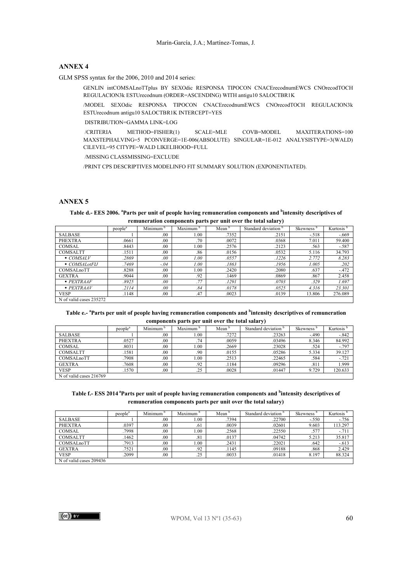#### **ANNEX 4**

GLM SPSS syntax for the 2006, 2010 and 2014 series:

GENLIN intCOMSALnoTTplus BY SEXOdic RESPONSA TIPOCON CNACErecodnumEWCS CNOrecodTOCH REGULACION3k ESTUrecodnum (ORDER=ASCENDING) WITH antigu10 SALOCTBR1K

/MODEL SEXOdic RESPONSA TIPOCON CNACErecodnumEWCS CNOrecodTOCH REGULACION3k ESTUrecodnum antigu10 SALOCTBR1K INTERCEPT=YES

DISTRIBUTION=GAMMA LINK=LOG

/CRITERIA METHOD=FISHER(1) SCALE=MLE COVB=MODEL MAXITERATIONS=100 MAXSTEPHALVING=5 PCONVERGE=1E-006(ABSOLUTE) SINGULAR=1E-012 ANALYSISTYPE=3(WALD) CILEVEL=95 CITYPE=WALD LIKELIHOOD=FULL

/MISSING CLASSMISSING=EXCLUDE

/PRINT CPS DESCRIPTIVES MODELINFO FIT SUMMARY SOLUTION (EXPONENTIATED).

#### **ANNEX 5**

**Table d.- EES 2006. <sup>a</sup> Parts per unit of people having remuneration components and <sup>b</sup> intensity descriptives of remuneration components parts per unit over the total salary)** 

|                                | $people^a$ | Minimum | Maximum | Mean  | Standard deviation | Skewness | Kurtosis <sup>b</sup> |  |  |  |  |
|--------------------------------|------------|---------|---------|-------|--------------------|----------|-----------------------|--|--|--|--|
| <b>SALBASE</b>                 |            | .00     | 1.00    | .7352 | .2151              | $-.518$  | $-.669$               |  |  |  |  |
| <b>PHEXTRA</b>                 | .0661      | .00     | .70     | .0072 | .0368              | 7.011    | 59.400                |  |  |  |  |
| <b>COMSAL</b>                  | .8443      | .00     | 1.00    | .2576 | .2123              | .563     | $-.587$               |  |  |  |  |
| COMSALTT                       | .1511      | .00     | .86     | .0156 | .0532              | 5.116    | 34.793                |  |  |  |  |
| $\bullet$ COMSALV              | .2869      | .00.    | 1.00    | .0557 | .1226              | 2.772    | 8.283                 |  |  |  |  |
| ■ COMSALotFIJ                  | .7469      | $-.04$  | 1.00    | .1863 | .1956              | 1.005    | .202                  |  |  |  |  |
| <b>COMSAL</b> <sub>no</sub> TT | .8288      | .00.    | 1.00    | .2420 | .2080              | .637     | $-.472$               |  |  |  |  |
| <b>GEXTRA</b>                  | .9044      | .00     | .92     | .1469 | .0869              | .867     | 2.458                 |  |  |  |  |
| PEXTRAAF                       | .8925      | .00.    | .77     | .1291 | .0703              | .329     | 1.697                 |  |  |  |  |
| PEXTRAAV                       | .2114      | .00.    | .84     | .0178 | .0525              | 4.316    | 23.301                |  |  |  |  |
| <b>VESP</b>                    | .1148      | .00     | .47     | .0023 | .0139              | 13.806   | 276.089               |  |  |  |  |
| N of valid cases 235272        |            |         |         |       |                    |          |                       |  |  |  |  |

**Table e.- <sup>a</sup> Parts per unit of people having remuneration components and <sup>b</sup> intensity descriptives of remuneration components parts per unit over the total salary)**

|                         | people <sup>a</sup> | Minimum | Maximum <sup>o</sup> | Mean  | Standard deviation | <b>Skewness</b> | Kurtosis |
|-------------------------|---------------------|---------|----------------------|-------|--------------------|-----------------|----------|
| <b>SALBASE</b>          |                     | .00     | 00.1                 | .7272 | .23263             | $-.490$         | $-.842$  |
| <b>PHEXTRA</b>          | .0527               | .00.    | .74                  | .0059 | .03496             | 8.346           | 84.992   |
| COMSAL                  | .8031               | .00     | .00                  | .2669 | .23028             | .524            | $-797$   |
| <b>COMSALTT</b>         | .1581               | .00     | .90                  | .0155 | .05286             | 5.334           | 39.127   |
| <b>COMSAL</b> noTT      | .7908               | .00.    | .00                  | .2513 | .22465             | .584            | $-.721$  |
| <b>GEXTRA</b>           | .7608               | .00     | .92                  | .1184 | .09296             | .811            | 1.999    |
| <b>VESP</b>             | .1570               | .00     | .25                  | .0028 | .01447             | 9.729           | 120.633  |
| N of valid cases 216769 |                     |         |                      |       |                    |                 |          |

**Table f.- ESS 2014 aParts per unit of people having remuneration components and <sup>b</sup> intensity descriptives of remuneration components parts per unit over the total salary)**

|                         | people <sup>a</sup> | Minimum | Maximum <sup>b</sup> | Mean  | Standard deviation | <b>Skewness</b> | Kurtosis <sup>b</sup> |  |  |  |  |  |  |  |  |  |  |
|-------------------------|---------------------|---------|----------------------|-------|--------------------|-----------------|-----------------------|--|--|--|--|--|--|--|--|--|--|
| <b>SALBASE</b>          |                     | .00     | 1.00                 | .7394 | .22700             | $-.550$         | $-756$                |  |  |  |  |  |  |  |  |  |  |
| <b>PHEXTRA</b>          | .0397               | .00     | .61                  | .0039 | .02601             | 9.603           | 113.297               |  |  |  |  |  |  |  |  |  |  |
| COMSAL                  | .7998               | .00     | .00                  | .2568 | .22550             | .577            | $-711$                |  |  |  |  |  |  |  |  |  |  |
| <b>COMSALTT</b>         | .1462               | .00     | .81                  | .0137 | .04742             | 5.213           | 35.817                |  |  |  |  |  |  |  |  |  |  |
| COMSALnoTT              | .7913               | .00     | .00                  | .2431 | .22021             | .642            | $-613$                |  |  |  |  |  |  |  |  |  |  |
| <b>GEXTRA</b>           | .7521               | .00     | .92                  | .1145 | .09188             | .868            | 2.429                 |  |  |  |  |  |  |  |  |  |  |
| <b>VESP</b>             | .2099               | .00     | .25                  | .0033 | .01418             | 8.197           | 88.324                |  |  |  |  |  |  |  |  |  |  |
| N of valid cases 209436 |                     |         |                      |       |                    |                 |                       |  |  |  |  |  |  |  |  |  |  |

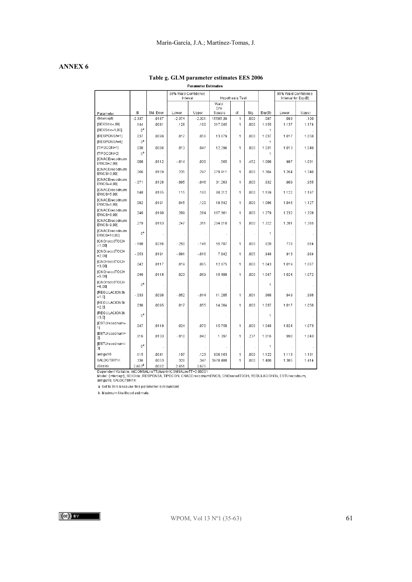## **ANNEX 6**

# **Table g. GLM parameter estimates EES 2006**

| Parameter Estimates                                                                                                                                                                                 |                                            |            |          |          |              |                        |      |            |                     |       |  |
|-----------------------------------------------------------------------------------------------------------------------------------------------------------------------------------------------------|--------------------------------------------|------------|----------|----------|--------------|------------------------|------|------------|---------------------|-------|--|
|                                                                                                                                                                                                     | 95% Wald Confidence<br>95% Wald Confidence |            |          |          |              |                        |      |            |                     |       |  |
|                                                                                                                                                                                                     |                                            |            | Interval |          |              | <b>Hypothesis Test</b> |      |            | Interval for Exp(B) |       |  |
|                                                                                                                                                                                                     |                                            |            |          |          | Wald<br>Chi- |                        |      |            |                     |       |  |
| Parameter                                                                                                                                                                                           | B                                          | Std. Error | Lower    | Upper    | Square       | df                     | Sig. | Exp(B)     | Lower               | Upper |  |
| (Intercept)                                                                                                                                                                                         | $-2.337$                                   | 0187       | $-2.374$ | $-2.301$ | 15585.39     | $\mathbf{1}$           | .000 | .097       | .093                | .100  |  |
| [SEXOdic=,00]                                                                                                                                                                                       | .144                                       | .0081      | .128     | .160     | 317.045      | 1                      | .000 | 1.155      | 1.137               | 1.174 |  |
| [SEXOdic=1,00]<br>[RESPONSA=1]                                                                                                                                                                      | $0^a$                                      |            |          |          |              |                        |      | 1          |                     |       |  |
| [RESPONSA=6]                                                                                                                                                                                        | .037<br>0 <sup>a</sup>                     | .0099      | .017     | .056     | 13.679       | 1                      | .000 | 1.037<br>1 | 1.017               | 1.058 |  |
| ITIPOCON=11                                                                                                                                                                                         | .030                                       | .0086      | .013     | .047     | 12.296       | ×,<br>1                | .000 | 1.031      | 1.013               | 1.048 |  |
| TIPOCON=21                                                                                                                                                                                          | 0ª                                         |            |          |          |              |                        |      | 1          |                     |       |  |
| [CNACErecodnum<br>EWCS=2,00]                                                                                                                                                                        | .008                                       | .0112      | $-0.14$  | .030     | .565         | 1                      | .452 | 1.008      | .987                | 1.031 |  |
| <b>[CNACErecodnum</b><br>EWCS=3.00]                                                                                                                                                                 | .266                                       | .0159      | .235     | .297     | 279.911      | 1                      | .000 | 1.304      | 1.264               | 1.346 |  |
| [CNACErecodnum<br>EWCS=4,00]                                                                                                                                                                        | $-071$                                     | .0126      | $-0.95$  | $-0.46$  | 31.263       | 1                      | .000 | .932       | .909                | .955  |  |
| <b>[CNACErecodnum</b><br>EWCS=5.00]                                                                                                                                                                 | .148                                       | .0165      | .115     | .180     | 80.212       | 1                      | .000 | 1.159      | 1.122               | 1.197 |  |
| <b>[CNACErecodnum</b><br>EWCS=6.001                                                                                                                                                                 | .082                                       | .0191      | .045     | .120     | 18.542       | 1                      | .000 | 1.086      | 1.046               | 1.127 |  |
| [CNACErecodnum<br>EWCS=8.001                                                                                                                                                                        | .246                                       | .0190      | .209     | .284     | 167.361      | 1                      | .000 | 1.279      | 1.232               | 1.328 |  |
| [CNACErecodnum<br>EWCS=9,00]                                                                                                                                                                        | .279                                       | .0163      | .247     | .311     | 294.010      | 1                      | .000 | 1.322      | 1.281               | 1.365 |  |
| [CNACErecodnum<br>EWCS=10.00]                                                                                                                                                                       | $0^a$                                      |            |          |          |              | J.                     |      | 1          |                     |       |  |
| <b>[CNOrecodTOCH</b><br>$=1.00$                                                                                                                                                                     | $-198$                                     | .0266      | $-250$   | $-146$   | 55.707       | 1                      | .000 | .820       | .778                | .864  |  |
| <b>ICNOrecodTOCH</b><br>$= 2,00$                                                                                                                                                                    | $-053$                                     | .0191      | $-0.91$  | $-0.016$ | 7.842        | 1                      | .005 | .948       | .913                | .984  |  |
| [CNOrecodTOCH<br>$= 3,00$                                                                                                                                                                           | .042                                       | .0117      | .019     | .065     | 12.875       | 1                      | .000 | 1.043      | 1.019               | 1.067 |  |
| [CNOrecodTOCH<br>$= 5,00$                                                                                                                                                                           | .046                                       | .0118      | .023     | .069     | 15.488       | 1                      | .000 | 1.047      | 1.024               | 1.072 |  |
| [CNOrecodTOCH<br>$= 6,00$                                                                                                                                                                           | $0^a$                                      |            |          | i,       | ł,           | à,                     |      | 1          | à,                  |       |  |
| <b>IREGULACION3k</b><br>$=1,0$                                                                                                                                                                      | $-0.33$                                    | .0098      | $-052$   | $-.014$  | 11.205       | 1                      | .001 | .968       | .949                | .986  |  |
| <b>IREGULACION3k</b><br>$= 2.0$                                                                                                                                                                     | .036                                       | .0095      | .017     | .055     | 14.264       | 1                      | .000 | 1.037      | 1.017               | 1.056 |  |
| <b>IREGULACION3k</b><br>$= 3.01$                                                                                                                                                                    | 0 <sup>a</sup>                             |            | $\cdot$  | à,       |              | à,                     |      | 1          |                     |       |  |
| [ESTUrecodnum=<br>1]                                                                                                                                                                                | .047                                       | .0119      | .024     | .070     | 15.750       | 1                      | .000 | 1.048      | 1.024               | 1.073 |  |
| [ESTUrecodnum=<br>21                                                                                                                                                                                | .016                                       | .0133      | $-.010$  | .042     | 1.397        | 1                      | .237 | 1.016      | .990                | 1.043 |  |
| [ESTUrecodnum=<br>3]                                                                                                                                                                                | $0^a$                                      |            |          | l,       |              | ÷,                     |      | 1          |                     |       |  |
| antigu10                                                                                                                                                                                            | .115                                       | .0041      | .107     | .123     | 806.163      | 1                      | .000 | 1.122      | 1.113               | 1.131 |  |
| SALOCTBR1K                                                                                                                                                                                          | .336                                       | .0053      | .326     | .347     | 3978.488     | $\mathbf{1}$           | .000 | 1.400      | 1.385               | 1.414 |  |
| (Scale)                                                                                                                                                                                             | 2.663 <sup>b</sup>                         | 0062       | 2.651    | 2.675    |              |                        |      |            |                     |       |  |
| Dependent Variable: intCOMSALnoTTplus=intCOMSALnoTT+0.00001<br>Model: (Intercept), SEXOdic, RESPONSA, TIPOCON, CNACErecodnumEWCS, CNOrecodTOCH, REGULACION3k, ESTUrecodnum,<br>antigu10, SALOCTBR1K |                                            |            |          |          |              |                        |      |            |                     |       |  |

a. Set to zero because this parameter is redundant.

b. Maximum likelihood estimate.

 $(cc)$  by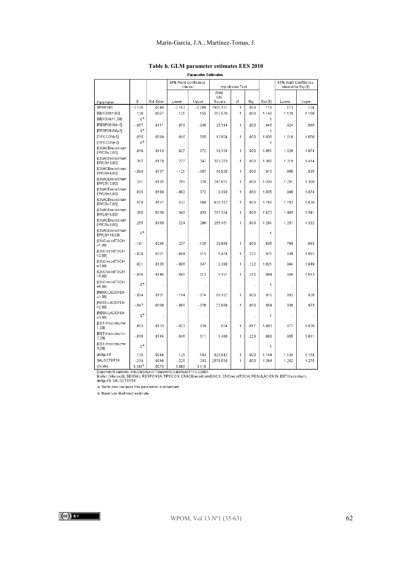#### Marín-García, J.A.; Martínez-Tomas, J.

|                                                                                                                                                                                                     |                    |                     | 95% Wald Confidence<br>Interval |                   |                    | Hypothesis Test |              |               | 95% Wald Confidence<br>Interval for Exp(B) |               |
|-----------------------------------------------------------------------------------------------------------------------------------------------------------------------------------------------------|--------------------|---------------------|---------------------------------|-------------------|--------------------|-----------------|--------------|---------------|--------------------------------------------|---------------|
|                                                                                                                                                                                                     |                    |                     |                                 |                   | Wald               |                 |              |               |                                            |               |
|                                                                                                                                                                                                     | B                  |                     |                                 |                   | Chi-               | df              |              |               | Lower                                      |               |
| Parameter<br>(Intercept)                                                                                                                                                                            | $-2.136$           | Std. Error<br>.0240 | Lower<br>$-2.183$               | Upper<br>$-2.089$ | Square<br>7906.121 | 1               | Sig.<br>.000 | Exp(B)        |                                            | Upper         |
| [SEXOdic=,00]                                                                                                                                                                                       | .138               | .0087               | .121                            | .155              | 252.570            | 1               | .000         | .118<br>1.148 | .113<br>1.129                              | .124<br>1.168 |
| [SEXOdic=1,00]                                                                                                                                                                                      | $0^a$              |                     |                                 |                   |                    |                 |              | 1             |                                            |               |
| [RESPONSA=0]                                                                                                                                                                                        | $-057$             | .0111               | $-079$                          | $-0.35$           | 26.184             | 1               | .000         | .945          | .924                                       | .965          |
| [RESPONSA=1]                                                                                                                                                                                        | $0^a$              |                     |                                 |                   |                    |                 |              | 1             |                                            |               |
| [TIPOCON=1]                                                                                                                                                                                         | .035               | .0099               | .016                            | .055              | 12.804             | 1               | .000         | 1.036         | 1.016                                      | 1.056         |
| [TIPOCON=2]                                                                                                                                                                                         | 0 <sup>a</sup>     |                     |                                 | ×                 |                    |                 |              | 1             |                                            |               |
| <b>[CNACErecodnum</b><br>EWCS=2.00]                                                                                                                                                                 | .049               | .0113               | .027                            | .072              | 19.104             | 1               | .000         | 1.051         | 1.028                                      | 1.074         |
| [CNACErecodnum<br>EWCS=3.001                                                                                                                                                                        | .312               | .0179               | .277                            | .347              | 303.283            | 1               | .000         | 1.366         | 1.319                                      | 1.414         |
| [CNACErecodnum<br>EWCS=4,00]                                                                                                                                                                        | $-094$             | .0137               | $-121$                          | $-067$            | 46.920             | 1               | .000         | .910          | .886                                       | .935          |
| <b>[CNACErecodnum</b><br>EWCS=5,00]                                                                                                                                                                 | .291               | .0185               | .255                            | .328              | 247.652            | 1               | .000         | 1.338         | 1.291                                      | 1.388         |
| <b>[CNACErecodnum</b><br>EWCS=6,00]                                                                                                                                                                 | .035               | .0189               | $-0.002$                        | .072              | 3.393              | 1               | 065          | 1.035         | .998                                       | 1.074         |
| <b>[CNACErecodnum</b><br>EWCS=7,00]                                                                                                                                                                 | .570               | .0197               | .532                            | .609              | 836.112            | 1               | .000         | 1.769         | 1.702                                      | 1.839         |
| [CNACErecodnum<br>EWCS=8,00]                                                                                                                                                                        | .386               | .0236               | .340                            | .433              | 267.104            | 1               | .000         | 1.472         | 1.405                                      | 1.541         |
| [CNACErecodnum<br>EWCS=9,00]                                                                                                                                                                        | 255                | .0160               | .224                            | .286              | 255.451            | 1               | .000         | 1.291         | 1.251                                      | 1.332         |
| [CNACErecodnum<br>EWCS=10,00]                                                                                                                                                                       | $0^a$              |                     |                                 | à,                |                    | à,              |              | 1             |                                            |               |
| [CNOrecodTOCH<br>$=1,00$                                                                                                                                                                            | $-181$             | .0286               | $-.237$                         | $-125$            | 39.889             | 1               | .000         | .835          | .789                                       | .883          |
| [CNOrecodTOCH<br>$= 2,00$                                                                                                                                                                           | $-024$             | .0201               | $-064$                          | .015              | 1.474              | 1               | .225         | .976          | .938                                       | 1.015         |
| [CNOrecodTOCH<br>$= 3.001$                                                                                                                                                                          | .021               | 0135                | $-006$                          | .047              | 2.388              | 1               | .122         | 1.021         | 994                                        | 1.049         |
| [CNOrecodTOCH<br>$= 5,00$                                                                                                                                                                           | $-016$             | .0146               | $-0.45$                         | .013              | 1.191              | 1               | 275          | .984          | .956                                       | 1.013         |
| <b>[CNOrecodTOCH</b><br>$= 6,001$                                                                                                                                                                   | 0 <sup>a</sup>     |                     |                                 |                   |                    | à,              |              | 1             |                                            |               |
| <b>IREGULACION3k</b><br>$=1,00$ ]                                                                                                                                                                   | $-094$             | .0101               | $-114$                          | $-.074$           | 86.192             | 1               | .000         | .910          | .892                                       | .928          |
| <b>IREGULACION3k</b><br>$= 2,00$                                                                                                                                                                    | $-047$             | .0098               | $-066$                          | $-0.28$           | 22.899             | 1               | .000         | .954          | .936                                       | .973          |
| [REGULACION3k<br>$= 3,00$                                                                                                                                                                           | nª                 |                     | ×                               |                   | ÷.                 | ×.              |              | 1             | ÷.                                         |               |
| [ESTUrecodnum=<br>1,00]                                                                                                                                                                             | .003               | .0133               | $-0.23$                         | .029              | .054               | 1               | .817         | 1.003         | .977                                       | 1.030         |
| IESTUrecodnum=<br>2,001                                                                                                                                                                             | $-018$             | .0144               | $-0.46$                         | .011              | 1.486              | 1               | .223         | .983          | .955                                       | 1.011         |
| [ESTUrecodnum=<br>3,00]                                                                                                                                                                             | $0^{\mathsf{a}}$   |                     |                                 | l,                |                    | ł               |              | 1             |                                            |               |
| antigu10                                                                                                                                                                                            | .135               | .0044               | .126                            | .143              | 926.842            | 1               | .000         | 1.144         | 1.134                                      | 1.154         |
| SALOCTBR1K                                                                                                                                                                                          | .234               | .0046               | .225                            | .243              | 2576.510           | 1               | .000         | 1.264         | 1.252                                      | 1.275         |
| (Scale)                                                                                                                                                                                             | 3.101 <sup>b</sup> | .0075               | 3.086                           | 3.116             |                    |                 |              |               |                                            |               |
| Dependent Variable: intCOMSALnoTTplus=intCOMSALnoTT+0.00001<br>Model: (Intercept), SEXOdic, RESPONSA, TIPOCON, CNACErecodnumEWCS, CNOrecodTOCH, REGULACION3k, ESTUrecodnum,<br>antigu10, SALOCTBR1K |                    |                     |                                 |                   |                    |                 |              |               |                                            |               |

#### **Table h. GLM parameter estimates EES 2010Parameter Estimates**

J

a. Set to zero because this parameter is redundant.

b. Maximum likelihood estimate.

 $(cc)$ ) BY